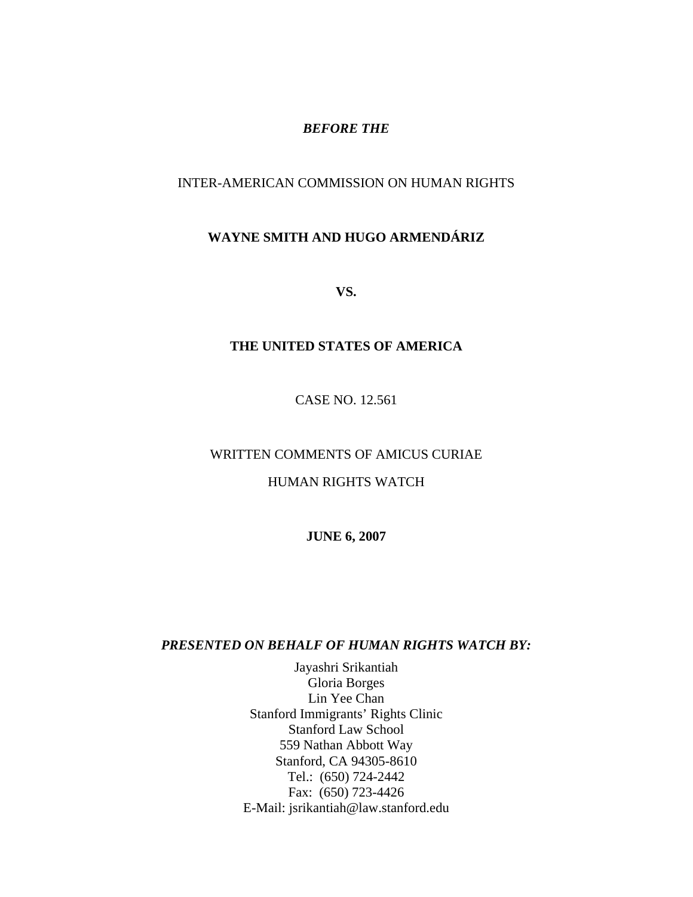#### *BEFORE THE*

# INTER-AMERICAN COMMISSION ON HUMAN RIGHTS

# **WAYNE SMITH AND HUGO ARMENDÁRIZ**

**VS.** 

#### **THE UNITED STATES OF AMERICA**

CASE NO. 12.561

#### WRITTEN COMMENTS OF AMICUS CURIAE

#### HUMAN RIGHTS WATCH

**JUNE 6, 2007** 

#### *PRESENTED ON BEHALF OF HUMAN RIGHTS WATCH BY:*

Jayashri Srikantiah Gloria Borges Lin Yee Chan Stanford Immigrants' Rights Clinic Stanford Law School 559 Nathan Abbott Way Stanford, CA 94305-8610 Tel.: (650) 724-2442 Fax: (650) 723-4426 E-Mail: jsrikantiah@law.stanford.edu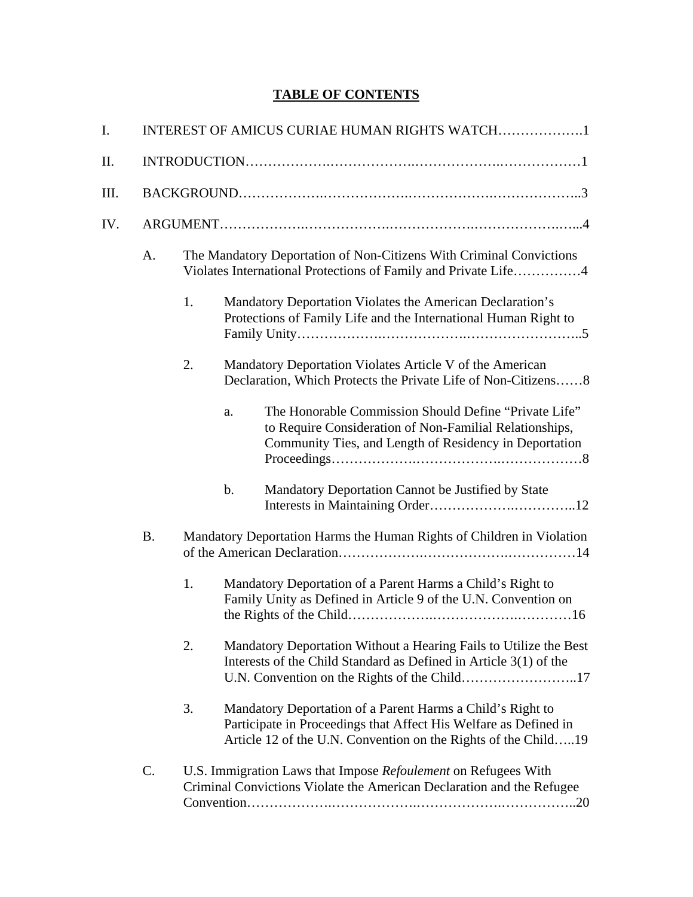# **TABLE OF CONTENTS**

| I.  | INTEREST OF AMICUS CURIAE HUMAN RIGHTS WATCH1                                                                                                 |                                                                                                                                       |               |                                                                                                                                                                                                  |  |  |
|-----|-----------------------------------------------------------------------------------------------------------------------------------------------|---------------------------------------------------------------------------------------------------------------------------------------|---------------|--------------------------------------------------------------------------------------------------------------------------------------------------------------------------------------------------|--|--|
| Π.  |                                                                                                                                               |                                                                                                                                       |               |                                                                                                                                                                                                  |  |  |
| Ш.  |                                                                                                                                               |                                                                                                                                       |               |                                                                                                                                                                                                  |  |  |
| IV. |                                                                                                                                               |                                                                                                                                       |               |                                                                                                                                                                                                  |  |  |
|     | A.                                                                                                                                            | The Mandatory Deportation of Non-Citizens With Criminal Convictions<br>Violates International Protections of Family and Private Life4 |               |                                                                                                                                                                                                  |  |  |
|     |                                                                                                                                               | 1.                                                                                                                                    |               | Mandatory Deportation Violates the American Declaration's<br>Protections of Family Life and the International Human Right to                                                                     |  |  |
|     |                                                                                                                                               | 2.                                                                                                                                    |               | Mandatory Deportation Violates Article V of the American<br>Declaration, Which Protects the Private Life of Non-Citizens8                                                                        |  |  |
|     |                                                                                                                                               |                                                                                                                                       | a.            | The Honorable Commission Should Define "Private Life"<br>to Require Consideration of Non-Familial Relationships,<br>Community Ties, and Length of Residency in Deportation                       |  |  |
|     |                                                                                                                                               |                                                                                                                                       | $\mathbf b$ . | Mandatory Deportation Cannot be Justified by State                                                                                                                                               |  |  |
|     | <b>B.</b><br>Mandatory Deportation Harms the Human Rights of Children in Violation                                                            |                                                                                                                                       |               |                                                                                                                                                                                                  |  |  |
|     |                                                                                                                                               | 1.                                                                                                                                    |               | Mandatory Deportation of a Parent Harms a Child's Right to<br>Family Unity as Defined in Article 9 of the U.N. Convention on                                                                     |  |  |
|     |                                                                                                                                               | 2.                                                                                                                                    |               | Mandatory Deportation Without a Hearing Fails to Utilize the Best<br>Interests of the Child Standard as Defined in Article 3(1) of the                                                           |  |  |
|     |                                                                                                                                               | 3.                                                                                                                                    |               | Mandatory Deportation of a Parent Harms a Child's Right to<br>Participate in Proceedings that Affect His Welfare as Defined in<br>Article 12 of the U.N. Convention on the Rights of the Child19 |  |  |
|     | C.<br>U.S. Immigration Laws that Impose Refoulement on Refugees With<br>Criminal Convictions Violate the American Declaration and the Refugee |                                                                                                                                       |               |                                                                                                                                                                                                  |  |  |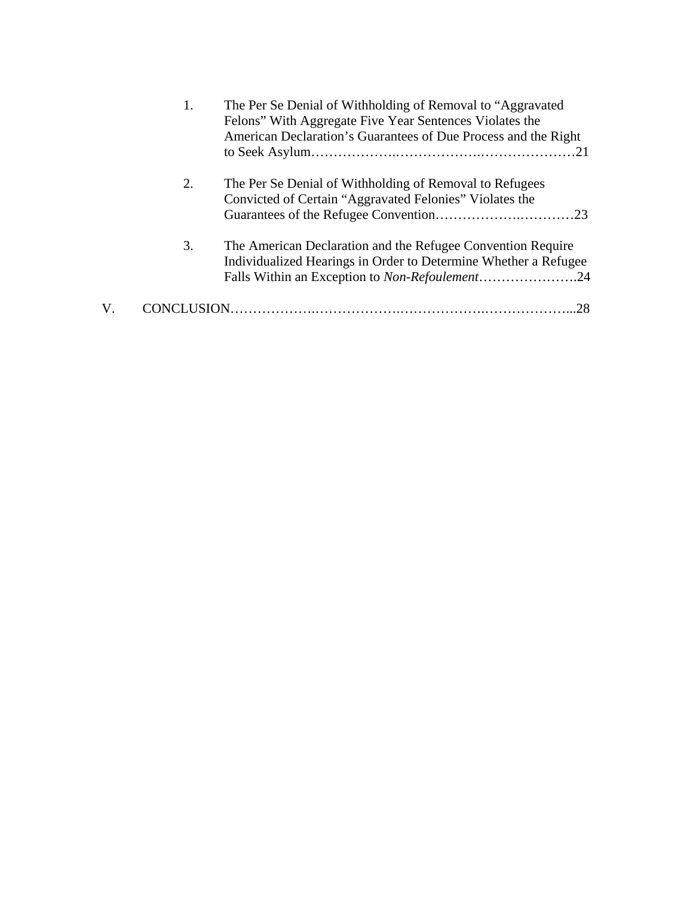| 1. | The Per Se Denial of Withholding of Removal to "Aggravated"<br>Felons" With Aggregate Five Year Sentences Violates the<br>American Declaration's Guarantees of Due Process and the Right |
|----|------------------------------------------------------------------------------------------------------------------------------------------------------------------------------------------|
| 2. | The Per Se Denial of Withholding of Removal to Refugees<br>Convicted of Certain "Aggravated Felonies" Violates the                                                                       |
| 3. | The American Declaration and the Refugee Convention Require<br>Individualized Hearings in Order to Determine Whether a Refugee<br>Falls Within an Exception to Non-Refoulement24         |
|    | 28                                                                                                                                                                                       |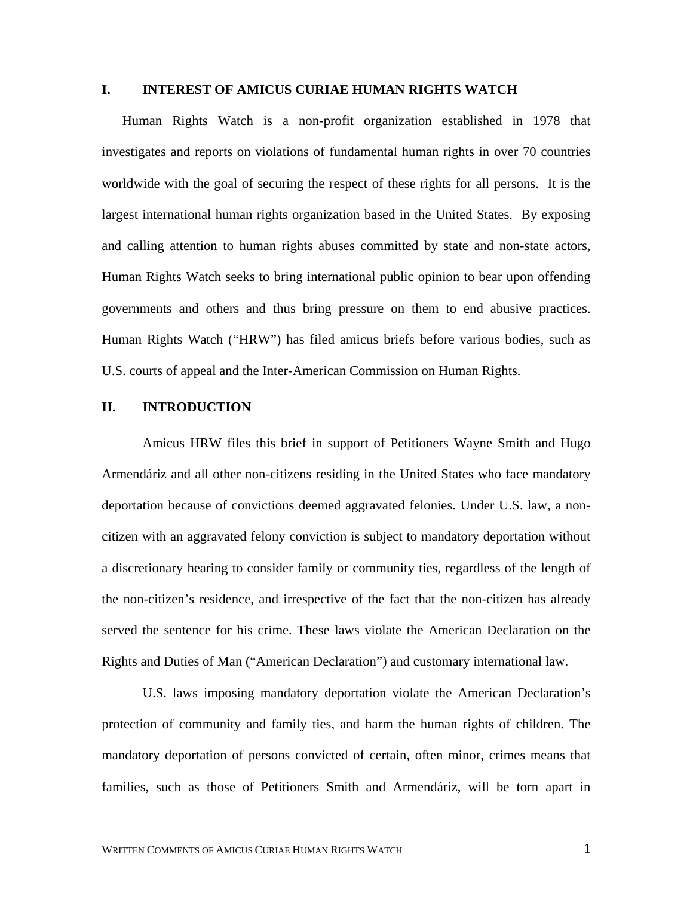#### **I. INTEREST OF AMICUS CURIAE HUMAN RIGHTS WATCH**

Human Rights Watch is a non-profit organization established in 1978 that investigates and reports on violations of fundamental human rights in over 70 countries worldwide with the goal of securing the respect of these rights for all persons. It is the largest international human rights organization based in the United States. By exposing and calling attention to human rights abuses committed by state and non-state actors, Human Rights Watch seeks to bring international public opinion to bear upon offending governments and others and thus bring pressure on them to end abusive practices. Human Rights Watch ("HRW") has filed amicus briefs before various bodies, such as U.S. courts of appeal and the Inter-American Commission on Human Rights.

#### **II. INTRODUCTION**

Amicus HRW files this brief in support of Petitioners Wayne Smith and Hugo Armendáriz and all other non-citizens residing in the United States who face mandatory deportation because of convictions deemed aggravated felonies. Under U.S. law, a noncitizen with an aggravated felony conviction is subject to mandatory deportation without a discretionary hearing to consider family or community ties, regardless of the length of the non-citizen's residence, and irrespective of the fact that the non-citizen has already served the sentence for his crime. These laws violate the American Declaration on the Rights and Duties of Man ("American Declaration") and customary international law.

U.S. laws imposing mandatory deportation violate the American Declaration's protection of community and family ties, and harm the human rights of children. The mandatory deportation of persons convicted of certain, often minor, crimes means that families, such as those of Petitioners Smith and Armendáriz, will be torn apart in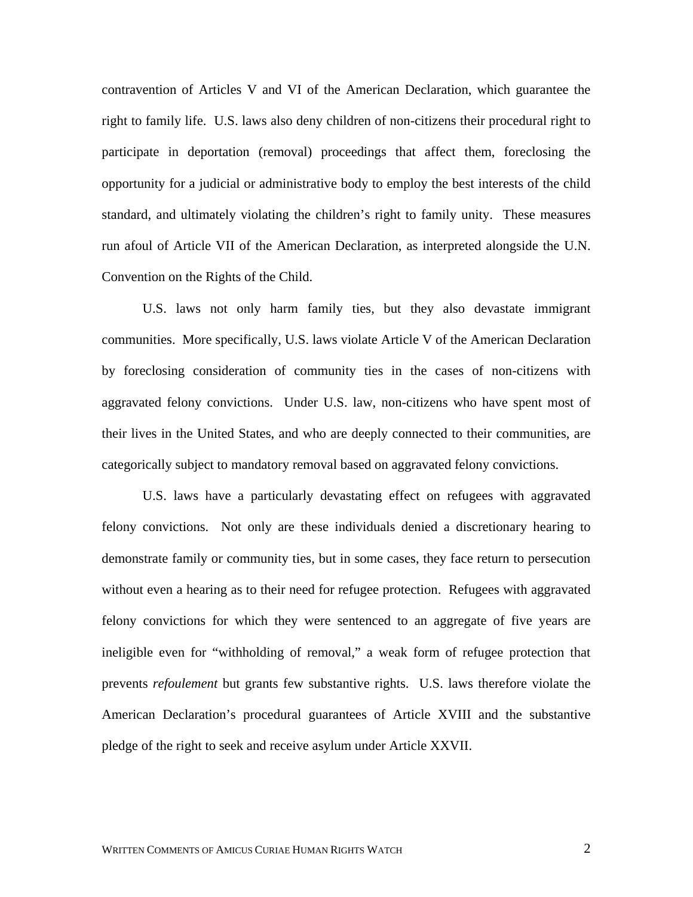contravention of Articles V and VI of the American Declaration, which guarantee the right to family life. U.S. laws also deny children of non-citizens their procedural right to participate in deportation (removal) proceedings that affect them, foreclosing the opportunity for a judicial or administrative body to employ the best interests of the child standard, and ultimately violating the children's right to family unity. These measures run afoul of Article VII of the American Declaration, as interpreted alongside the U.N. Convention on the Rights of the Child.

U.S. laws not only harm family ties, but they also devastate immigrant communities. More specifically, U.S. laws violate Article V of the American Declaration by foreclosing consideration of community ties in the cases of non-citizens with aggravated felony convictions. Under U.S. law, non-citizens who have spent most of their lives in the United States, and who are deeply connected to their communities, are categorically subject to mandatory removal based on aggravated felony convictions.

U.S. laws have a particularly devastating effect on refugees with aggravated felony convictions. Not only are these individuals denied a discretionary hearing to demonstrate family or community ties, but in some cases, they face return to persecution without even a hearing as to their need for refugee protection. Refugees with aggravated felony convictions for which they were sentenced to an aggregate of five years are ineligible even for "withholding of removal," a weak form of refugee protection that prevents *refoulement* but grants few substantive rights. U.S. laws therefore violate the American Declaration's procedural guarantees of Article XVIII and the substantive pledge of the right to seek and receive asylum under Article XXVII.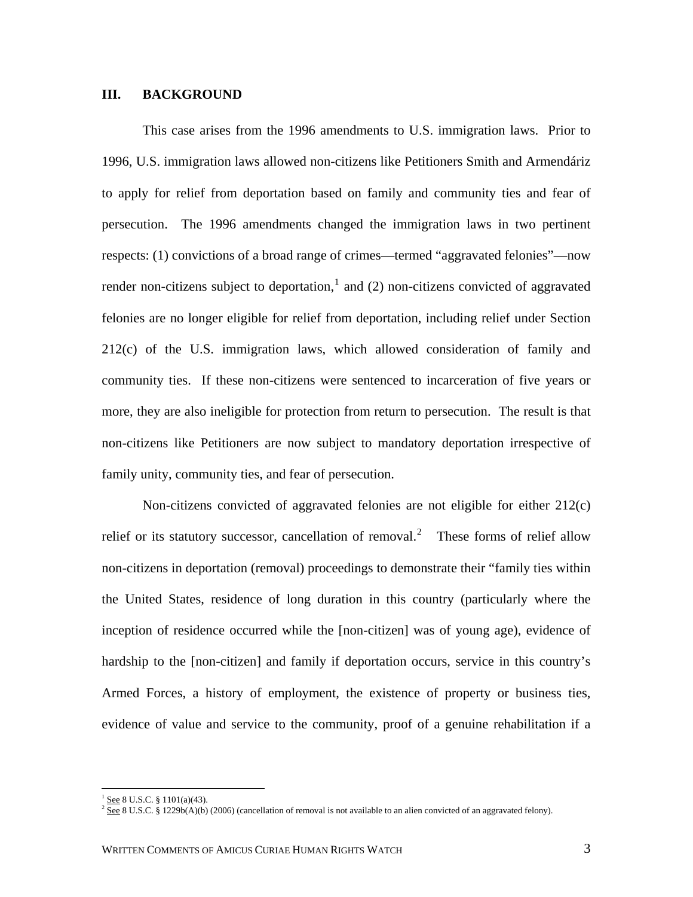#### **III. BACKGROUND**

This case arises from the 1996 amendments to U.S. immigration laws. Prior to 1996, U.S. immigration laws allowed non-citizens like Petitioners Smith and Armendáriz to apply for relief from deportation based on family and community ties and fear of persecution. The 1996 amendments changed the immigration laws in two pertinent respects: (1) convictions of a broad range of crimes—termed "aggravated felonies"—now render non-citizens subject to deportation,<sup>[1](#page-5-0)</sup> and (2) non-citizens convicted of aggravated felonies are no longer eligible for relief from deportation, including relief under Section 212(c) of the U.S. immigration laws, which allowed consideration of family and community ties. If these non-citizens were sentenced to incarceration of five years or more, they are also ineligible for protection from return to persecution. The result is that non-citizens like Petitioners are now subject to mandatory deportation irrespective of family unity, community ties, and fear of persecution.

Non-citizens convicted of aggravated felonies are not eligible for either 212(c) relief or its statutory successor, cancellation of removal.<sup>[2](#page-5-1)</sup> These forms of relief allow non-citizens in deportation (removal) proceedings to demonstrate their "family ties within the United States, residence of long duration in this country (particularly where the inception of residence occurred while the [non-citizen] was of young age), evidence of hardship to the [non-citizen] and family if deportation occurs, service in this country's Armed Forces, a history of employment, the existence of property or business ties, evidence of value and service to the community, proof of a genuine rehabilitation if a

<span id="page-5-1"></span><span id="page-5-0"></span><sup>&</sup>lt;sup>1</sup> See 8 U.S.C. § 1101(a)(43).<br><sup>2</sup> See 8 U.S.C. § 1229b(A)(b) (2006) (cancellation of removal is not available to an alien convicted of an aggravated felony).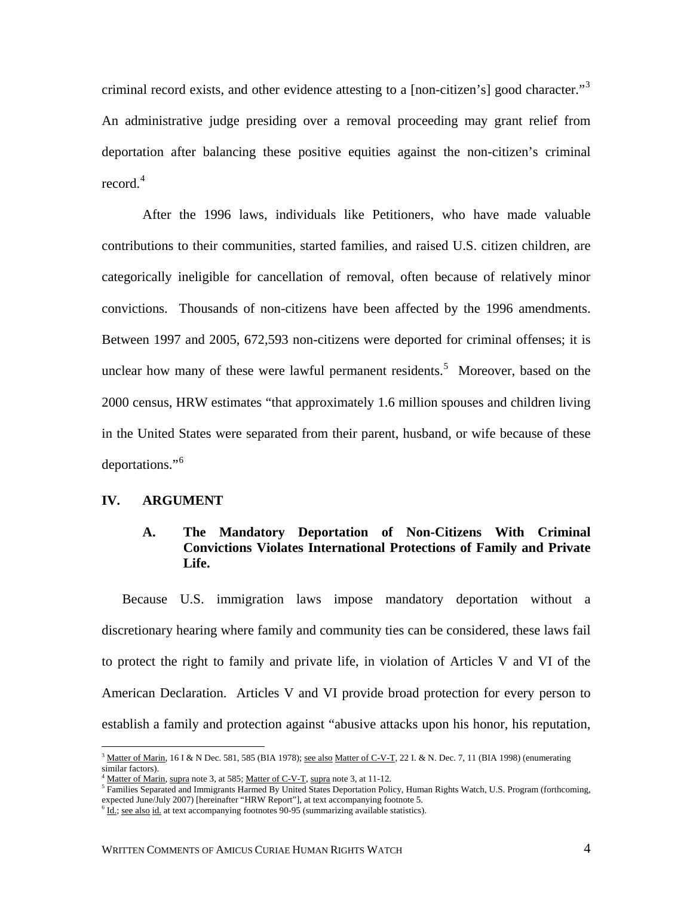criminal record exists, and other evidence attesting to a [non-citizen's] good character."<sup>[3](#page-6-0)</sup> An administrative judge presiding over a removal proceeding may grant relief from deportation after balancing these positive equities against the non-citizen's criminal record.<sup>[4](#page-6-1)</sup>

After the 1996 laws, individuals like Petitioners, who have made valuable contributions to their communities, started families, and raised U.S. citizen children, are categorically ineligible for cancellation of removal, often because of relatively minor convictions. Thousands of non-citizens have been affected by the 1996 amendments. Between 1997 and 2005, 672,593 non-citizens were deported for criminal offenses; it is unclear how many of these were lawful permanent residents.<sup>[5](#page-6-2)</sup> Moreover, based on the 2000 census, HRW estimates "that approximately 1.6 million spouses and children living in the United States were separated from their parent, husband, or wife because of these deportations."<sup>[6](#page-6-3)</sup>

## **IV. ARGUMENT**

 $\overline{a}$ 

#### **A. The Mandatory Deportation of Non-Citizens With Criminal Convictions Violates International Protections of Family and Private Life.**

Because U.S. immigration laws impose mandatory deportation without a discretionary hearing where family and community ties can be considered, these laws fail to protect the right to family and private life, in violation of Articles V and VI of the American Declaration. Articles V and VI provide broad protection for every person to establish a family and protection against "abusive attacks upon his honor, his reputation,

<span id="page-6-0"></span> $3 \text{ Matter of Marin}$ , 16 I & N Dec. 581, 585 (BIA 1978); see also Matter of C-V-T, 22 I. & N. Dec. 7, 11 (BIA 1998) (enumerating similar factors).

Matter of Marin, supra note 3, at 585; Matter of C-V-T, supra note 3, at 11-12.

<span id="page-6-2"></span><span id="page-6-1"></span><sup>&</sup>lt;sup>5</sup> Families Separated and Immigrants Harmed By United States Deportation Policy, Human Rights Watch, U.S. Program (forthcoming, expected June/July 2007) [hereinafter "HRW Report"], at text accompanying footnote 5.

<span id="page-6-3"></span> $\frac{6 \text{Id}}{1}$ ; see also id. at text accompanying footnotes 90-95 (summarizing available statistics).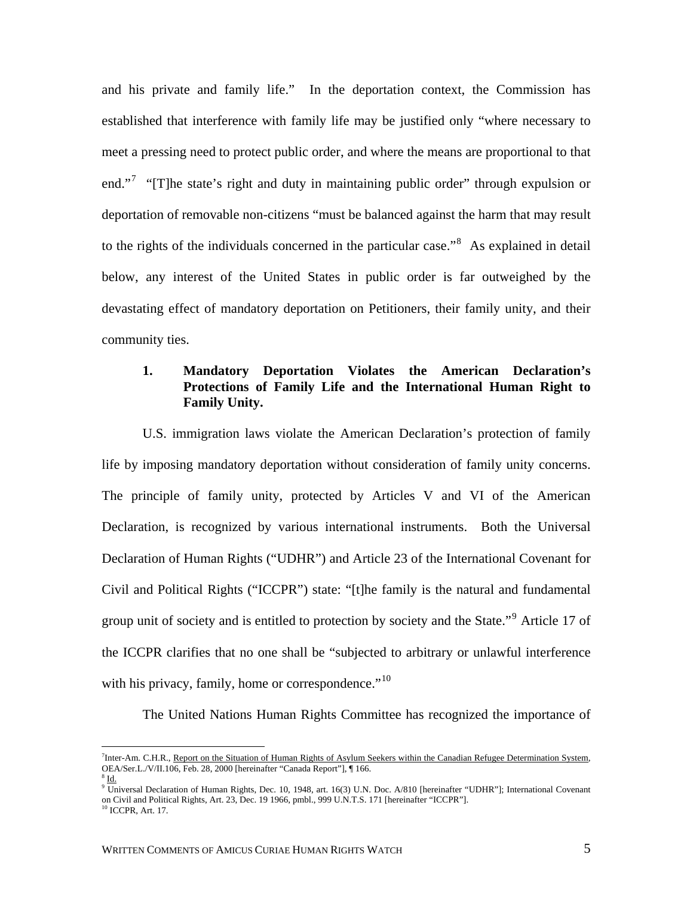and his private and family life." In the deportation context, the Commission has established that interference with family life may be justified only "where necessary to meet a pressing need to protect public order, and where the means are proportional to that end."<sup>[7](#page-7-0)</sup> "[T]he state's right and duty in maintaining public order" through expulsion or deportation of removable non-citizens "must be balanced against the harm that may result to the rights of the individuals concerned in the particular case."<sup>[8](#page-7-1)</sup> As explained in detail below, any interest of the United States in public order is far outweighed by the devastating effect of mandatory deportation on Petitioners, their family unity, and their community ties.

# **1. Mandatory Deportation Violates the American Declaration's Protections of Family Life and the International Human Right to Family Unity.**

U.S. immigration laws violate the American Declaration's protection of family life by imposing mandatory deportation without consideration of family unity concerns. The principle of family unity, protected by Articles V and VI of the American Declaration, is recognized by various international instruments. Both the Universal Declaration of Human Rights ("UDHR") and Article 23 of the International Covenant for Civil and Political Rights ("ICCPR") state: "[t]he family is the natural and fundamental group unit of society and is entitled to protection by society and the State."<sup>[9](#page-7-2)</sup> Article 17 of the ICCPR clarifies that no one shall be "subjected to arbitrary or unlawful interference with his privacy, family, home or correspondence." $10$ 

The United Nations Human Rights Committee has recognized the importance of

<span id="page-7-0"></span><sup>&</sup>lt;sup>7</sup><br>Thter-Am. C.H.R., <u>Report on the Situation of Human Rights of Asylum Seekers within the Canadian Refugee Determination System,</u> OEA/Ser.L./V/II.106, Feb. 28, 2000 [hereinafter "Canada Report"], ¶ 166.  $\rm^3$  Id.

<span id="page-7-2"></span><span id="page-7-1"></span><sup>9</sup> Universal Declaration of Human Rights, Dec. 10, 1948, art. 16(3) U.N. Doc. A/810 [hereinafter "UDHR"]; International Covenant on Civil and Political Rights, Art. 23, Dec. 19 1966, pmbl., 999 U.N.T.S. 171 [hereinafter "ICCPR"]. <sup>10</sup> ICCPR, Art. 17.

<span id="page-7-3"></span>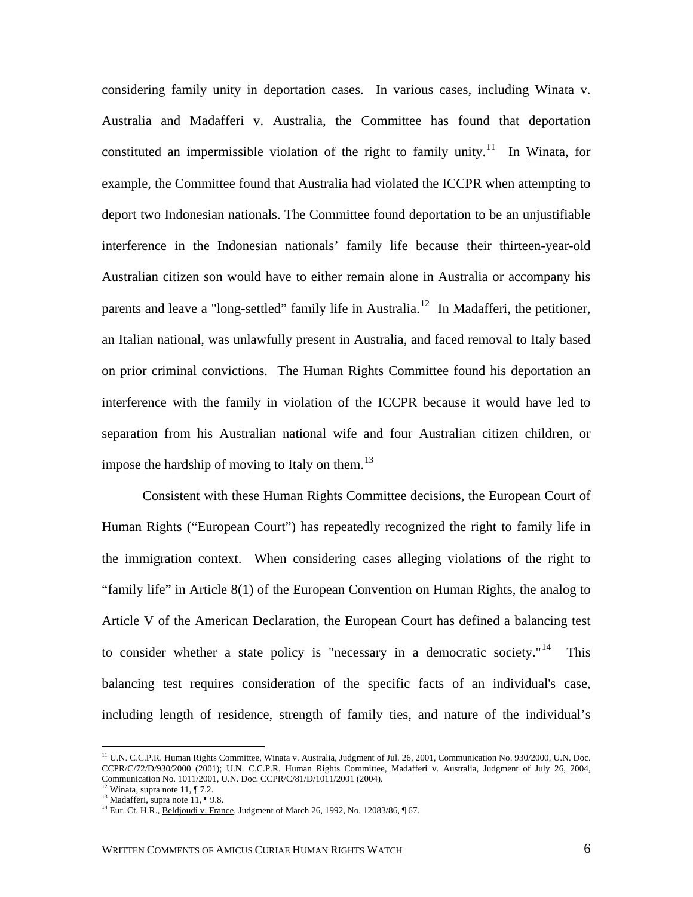considering family unity in deportation cases. In various cases, including Winata v. Australia and Madafferi v. Australia, the Committee has found that deportation constituted an impermissible violation of the right to family unity.<sup>[11](#page-8-0)</sup> In Winata, for example, the Committee found that Australia had violated the ICCPR when attempting to deport two Indonesian nationals. The Committee found deportation to be an unjustifiable interference in the Indonesian nationals' family life because their thirteen-year-old Australian citizen son would have to either remain alone in Australia or accompany his parents and leave a "long-settled" family life in Australia.<sup>[12](#page-8-1)</sup> In Madafferi, the petitioner, an Italian national, was unlawfully present in Australia, and faced removal to Italy based on prior criminal convictions. The Human Rights Committee found his deportation an interference with the family in violation of the ICCPR because it would have led to separation from his Australian national wife and four Australian citizen children, or impose the hardship of moving to Italy on them.<sup>[13](#page-8-2)</sup>

Consistent with these Human Rights Committee decisions, the European Court of Human Rights ("European Court") has repeatedly recognized the right to family life in the immigration context. When considering cases alleging violations of the right to "family life" in Article 8(1) of the European Convention on Human Rights, the analog to Article V of the American Declaration, the European Court has defined a balancing test to consider whether a state policy is "necessary in a democratic society."<sup>[14](#page-8-3)</sup> This balancing test requires consideration of the specific facts of an individual's case, including length of residence, strength of family ties, and nature of the individual's

<span id="page-8-0"></span><sup>&</sup>lt;sup>11</sup> U.N. C.C.P.R. Human Rights Committee, Winata v. Australia, Judgment of Jul. 26, 2001, Communication No. 930/2000, U.N. Doc. CCPR/C/72/D/930/2000 (2001); U.N. C.C.P.R. Human Rights Committee, Madafferi v. Australia, Judgment of July 26, 2004, Communication No. 1011/2001, U.N. Doc. CCPR/C/81/D/1011/2001 (2004).

<span id="page-8-3"></span>

<span id="page-8-2"></span><span id="page-8-1"></span><sup>&</sup>lt;sup>12</sup> Winata, supra note 11, ¶ 7.2.<br><sup>13</sup> <u>Madafferi, supra</u> note 11, ¶ 9.8.<br><sup>14</sup> Eur. Ct. H.R., <u>Beldjoudi v. France</u>, Judgment of March 26, 1992, No. 12083/86, ¶ 67.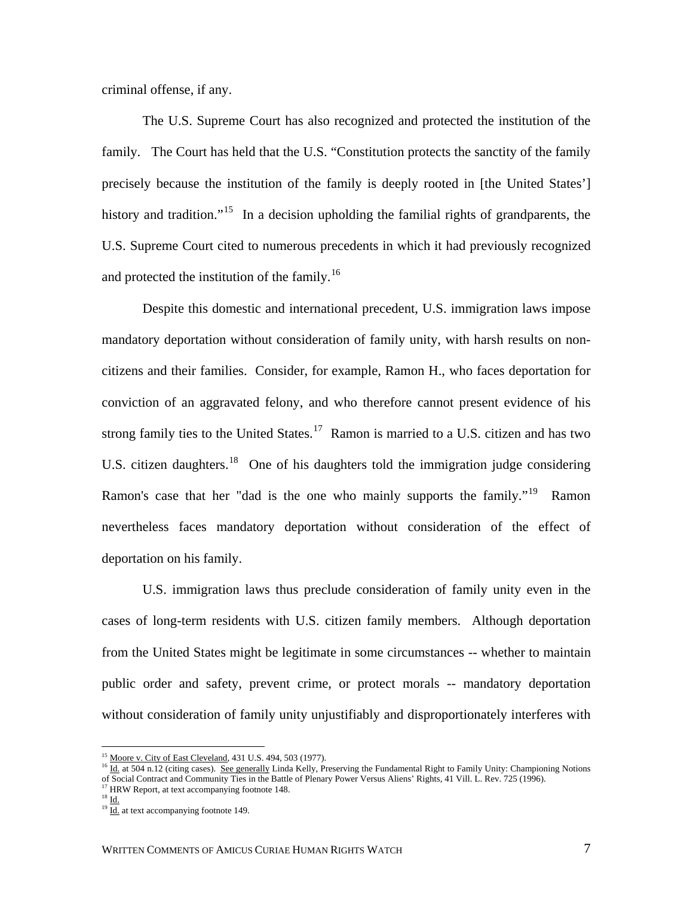criminal offense, if any.

The U.S. Supreme Court has also recognized and protected the institution of the family. The Court has held that the U.S. "Constitution protects the sanctity of the family precisely because the institution of the family is deeply rooted in [the United States'] history and tradition."<sup>[15](#page-9-0)</sup> In a decision upholding the familial rights of grandparents, the U.S. Supreme Court cited to numerous precedents in which it had previously recognized and protected the institution of the family.<sup>[16](#page-9-1)</sup>

Despite this domestic and international precedent, U.S. immigration laws impose mandatory deportation without consideration of family unity, with harsh results on noncitizens and their families. Consider, for example, Ramon H., who faces deportation for conviction of an aggravated felony, and who therefore cannot present evidence of his strong family ties to the United States.<sup>[17](#page-9-2)</sup> Ramon is married to a U.S. citizen and has two U.S. citizen daughters.<sup>[18](#page-9-3)</sup> One of his daughters told the immigration judge considering Ramon's case that her "dad is the one who mainly supports the family."<sup>[19](#page-9-4)</sup> Ramon nevertheless faces mandatory deportation without consideration of the effect of deportation on his family.

U.S. immigration laws thus preclude consideration of family unity even in the cases of long-term residents with U.S. citizen family members. Although deportation from the United States might be legitimate in some circumstances -- whether to maintain public order and safety, prevent crime, or protect morals -- mandatory deportation without consideration of family unity unjustifiably and disproportionately interferes with

<span id="page-9-1"></span><span id="page-9-0"></span><sup>&</sup>lt;sup>15</sup> Moore v. City of East Cleveland, 431 U.S. 494, 503 (1977).<br><sup>16</sup> Id. at 504 n.12 (citing cases). <u>See generally</u> Linda Kelly, Preserving the Fundamental Right to Family Unity: Championing Notions of Social Contract and Community Ties in the Battle of Plenary Power Versus Aliens' Rights, 41 Vill. L. Rev. 725 (1996).

<span id="page-9-4"></span><span id="page-9-3"></span><span id="page-9-2"></span> $^{18}$  <u>Id.</u>

 $19 \overline{Id}$  at text accompanying footnote 149.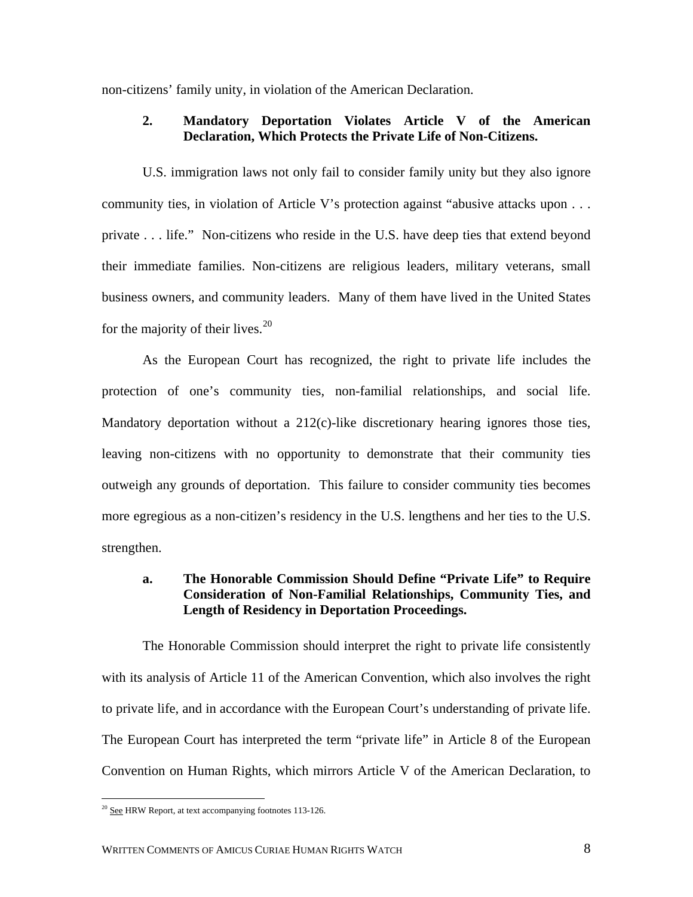non-citizens' family unity, in violation of the American Declaration.

#### **2. Mandatory Deportation Violates Article V of the American Declaration, Which Protects the Private Life of Non-Citizens.**

U.S. immigration laws not only fail to consider family unity but they also ignore community ties, in violation of Article V's protection against "abusive attacks upon . . . private . . . life." Non-citizens who reside in the U.S. have deep ties that extend beyond their immediate families. Non-citizens are religious leaders, military veterans, small business owners, and community leaders. Many of them have lived in the United States for the majority of their lives. $20$ 

As the European Court has recognized, the right to private life includes the protection of one's community ties, non-familial relationships, and social life. Mandatory deportation without a 212(c)-like discretionary hearing ignores those ties, leaving non-citizens with no opportunity to demonstrate that their community ties outweigh any grounds of deportation. This failure to consider community ties becomes more egregious as a non-citizen's residency in the U.S. lengthens and her ties to the U.S. strengthen.

# **a. The Honorable Commission Should Define "Private Life" to Require Consideration of Non-Familial Relationships, Community Ties, and Length of Residency in Deportation Proceedings.**

The Honorable Commission should interpret the right to private life consistently with its analysis of Article 11 of the American Convention, which also involves the right to private life, and in accordance with the European Court's understanding of private life. The European Court has interpreted the term "private life" in Article 8 of the European Convention on Human Rights, which mirrors Article V of the American Declaration, to

<span id="page-10-0"></span> $\overline{a}$  $20$  See HRW Report, at text accompanying footnotes 113-126.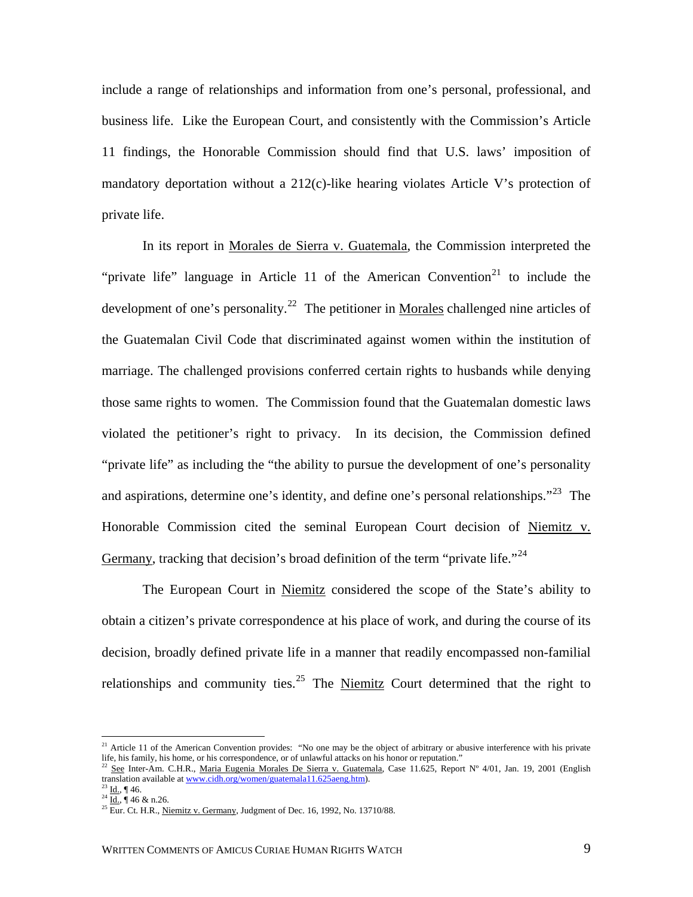include a range of relationships and information from one's personal, professional, and business life. Like the European Court, and consistently with the Commission's Article 11 findings, the Honorable Commission should find that U.S. laws' imposition of mandatory deportation without a 212(c)-like hearing violates Article V's protection of private life.

In its report in Morales de Sierra v. Guatemala, the Commission interpreted the "private life" language in Article 11 of the American Convention<sup>[21](#page-11-0)</sup> to include the development of one's personality.<sup>[22](#page-11-1)</sup> The petitioner in Morales challenged nine articles of the Guatemalan Civil Code that discriminated against women within the institution of marriage. The challenged provisions conferred certain rights to husbands while denying those same rights to women. The Commission found that the Guatemalan domestic laws violated the petitioner's right to privacy. In its decision, the Commission defined "private life" as including the "the ability to pursue the development of one's personality and aspirations, determine one's identity, and define one's personal relationships."<sup>[23](#page-11-2)</sup> The Honorable Commission cited the seminal European Court decision of Niemitz v. Germany, tracking that decision's broad definition of the term "private life."<sup>[24](#page-11-3)</sup>

The European Court in Niemitz considered the scope of the State's ability to obtain a citizen's private correspondence at his place of work, and during the course of its decision, broadly defined private life in a manner that readily encompassed non-familial relationships and community ties.<sup>[25](#page-11-4)</sup> The Niemitz Court determined that the right to

<span id="page-11-0"></span><sup>&</sup>lt;sup>21</sup> Article 11 of the American Convention provides: "No one may be the object of arbitrary or abusive interference with his private

<span id="page-11-1"></span>life, his family, his home, or his correspondence, or of unlawful attacks on his honor or reputation."<br>
<sup>22</sup> <u>See</u> Inter-Am. C.H.R., <u>Maria Eugenia Morales De Sierra v. Guatemala</u>, Case 11.625, Report N° 4/01, Jan. 19, 20

<span id="page-11-4"></span><span id="page-11-3"></span>

<span id="page-11-2"></span><sup>&</sup>lt;sup>23</sup> Id., ¶ 46.<br><sup>24</sup> Id., ¶ 46 & n.26. 25 Eur. Ct. H.R., Niemitz v. Germany, Judgment of Dec. 16, 1992, No. 13710/88.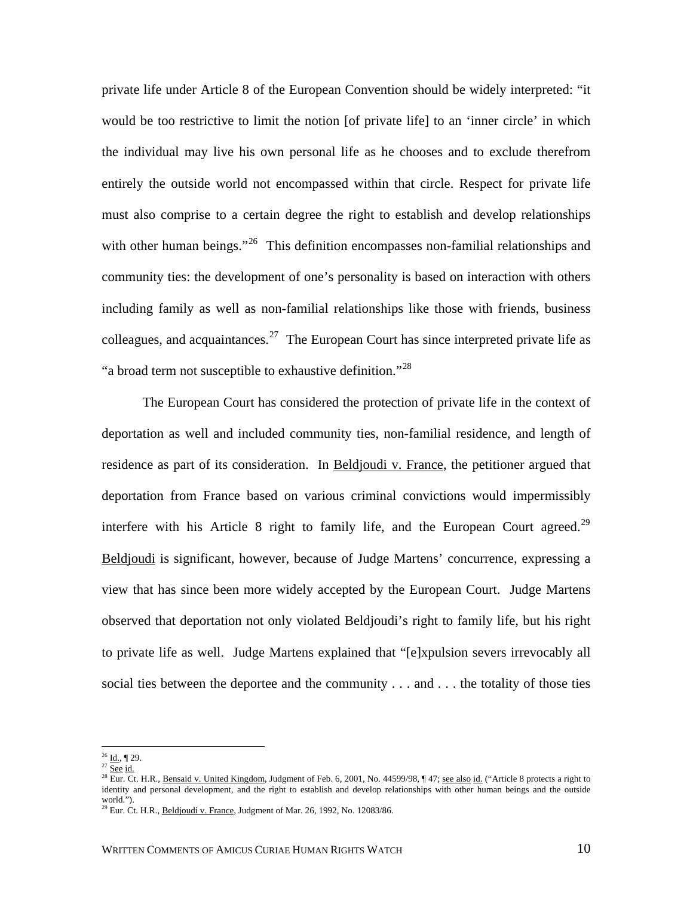private life under Article 8 of the European Convention should be widely interpreted: "it would be too restrictive to limit the notion [of private life] to an 'inner circle' in which the individual may live his own personal life as he chooses and to exclude therefrom entirely the outside world not encompassed within that circle. Respect for private life must also comprise to a certain degree the right to establish and develop relationships with other human beings."<sup>[26](#page-12-0)</sup> This definition encompasses non-familial relationships and community ties: the development of one's personality is based on interaction with others including family as well as non-familial relationships like those with friends, business colleagues, and acquaintances.<sup>[27](#page-12-1)</sup> The European Court has since interpreted private life as "a broad term not susceptible to exhaustive definition."<sup>[28](#page-12-2)</sup>

 The European Court has considered the protection of private life in the context of deportation as well and included community ties, non-familial residence, and length of residence as part of its consideration. In Beldjoudi v. France, the petitioner argued that deportation from France based on various criminal convictions would impermissibly interfere with his Article 8 right to family life, and the European Court agreed.<sup>29</sup> Beldjoudi is significant, however, because of Judge Martens' concurrence, expressing a view that has since been more widely accepted by the European Court. Judge Martens observed that deportation not only violated Beldjoudi's right to family life, but his right to private life as well. Judge Martens explained that "[e]xpulsion severs irrevocably all social ties between the deportee and the community . . . and . . . the totality of those ties

<span id="page-12-0"></span> $^{26}$  Id., ¶ 29.  $27 \overline{\text{See}}$  id.

<span id="page-12-2"></span><span id="page-12-1"></span><sup>&</sup>lt;sup>28</sup> Eur. Ct. H.R., <u>Bensaid v. United Kingdom</u>, Judgment of Feb. 6, 2001, No. 44599/98, ¶ 47; <u>see also id.</u> ("Article 8 protects a right to identity and personal development, and the right to establish and develop relationships with other human beings and the outside world.").

<span id="page-12-3"></span> $29$  Eur. Ct. H.R., Beldjoudi v. France, Judgment of Mar. 26, 1992, No. 12083/86.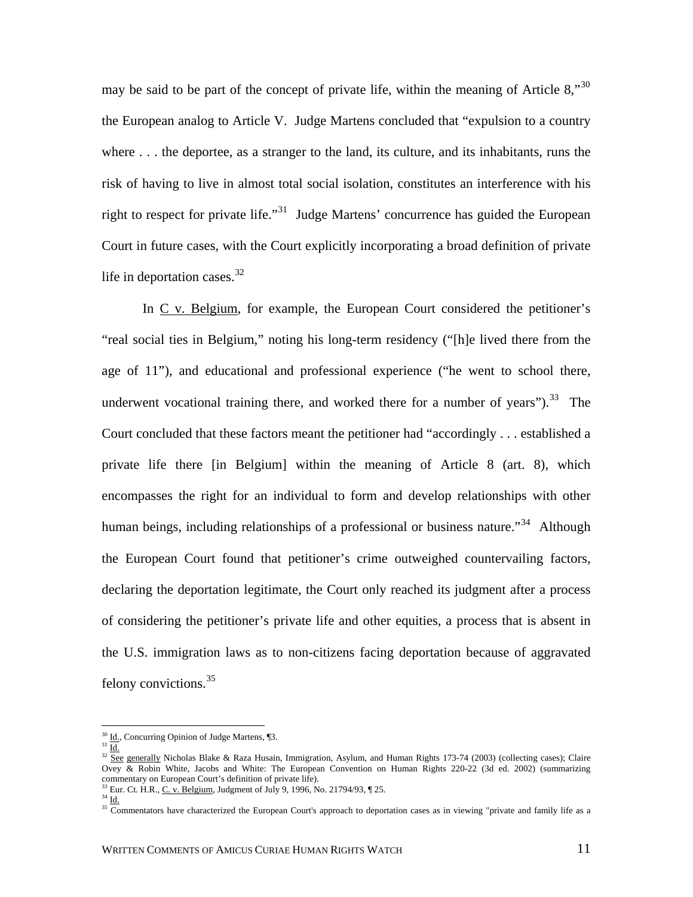may be said to be part of the concept of private life, within the meaning of Article 8,"  $30$ the European analog to Article V. Judge Martens concluded that "expulsion to a country where . . . the deportee, as a stranger to the land, its culture, and its inhabitants, runs the risk of having to live in almost total social isolation, constitutes an interference with his right to respect for private life."<sup>[31](#page-13-1)</sup> Judge Martens' concurrence has guided the European Court in future cases, with the Court explicitly incorporating a broad definition of private life in deportation cases. $^{32}$  $^{32}$  $^{32}$ 

In C v. Belgium, for example, the European Court considered the petitioner's "real social ties in Belgium," noting his long-term residency ("[h]e lived there from the age of 11"), and educational and professional experience ("he went to school there, underwent vocational training there, and worked there for a number of years"). $^{33}$  $^{33}$  $^{33}$  The Court concluded that these factors meant the petitioner had "accordingly . . . established a private life there [in Belgium] within the meaning of Article 8 (art. 8), which encompasses the right for an individual to form and develop relationships with other human beings, including relationships of a professional or business nature."<sup>[34](#page-13-4)</sup> Although the European Court found that petitioner's crime outweighed countervailing factors, declaring the deportation legitimate, the Court only reached its judgment after a process of considering the petitioner's private life and other equities, a process that is absent in the U.S. immigration laws as to non-citizens facing deportation because of aggravated felony convictions.[35](#page-13-5)

<span id="page-13-2"></span><span id="page-13-1"></span><span id="page-13-0"></span><sup>&</sup>lt;sup>30</sup> Id., Concurring Opinion of Judge Martens, ¶3.<br><sup>31</sup> Id. 32 See generally Nicholas Blake & Raza Husain, Immigration, Asylum, and Human Rights 173-74 (2003) (collecting cases); Claire Ovey & Robin White, Jacobs and White: The European Convention on Human Rights 220-22 (3d ed. 2002) (summarizing commentary on European Court's definition of private life).

<span id="page-13-4"></span><span id="page-13-3"></span><sup>&</sup>lt;sup>33</sup> Eur. Ct. H.R., <u>C. v. Belgium</u>, Judgment of July 9, 1996, No. 21794/93, ¶ 25.<br><sup>34</sup> Id.

<span id="page-13-5"></span> $\frac{35}{25}$  Commentators have characterized the European Court's approach to deportation cases as in viewing "private and family life as a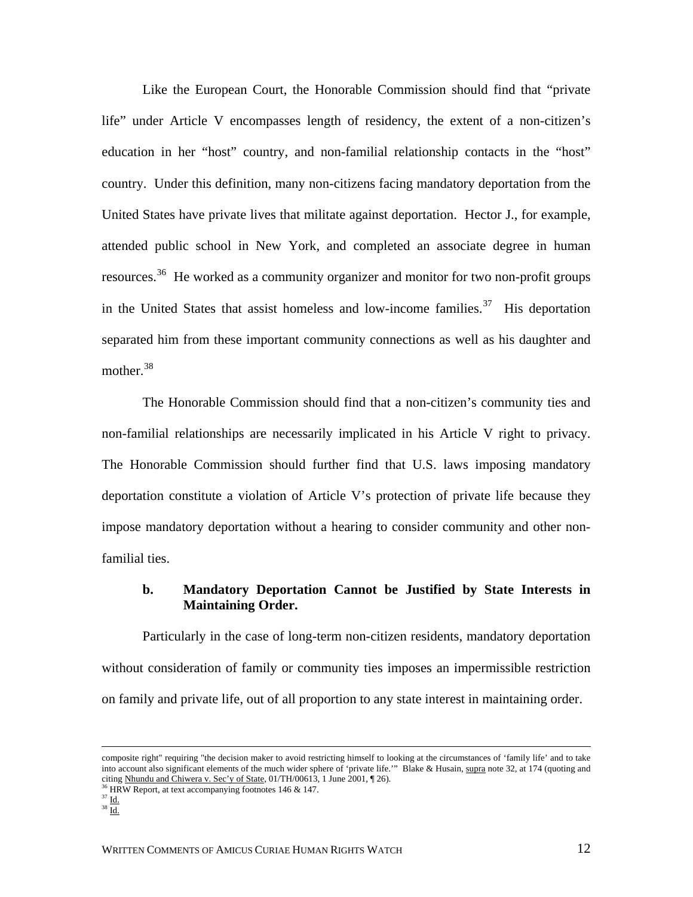Like the European Court, the Honorable Commission should find that "private life" under Article V encompasses length of residency, the extent of a non-citizen's education in her "host" country, and non-familial relationship contacts in the "host" country. Under this definition, many non-citizens facing mandatory deportation from the United States have private lives that militate against deportation. Hector J., for example, attended public school in New York, and completed an associate degree in human resources.[36](#page-14-0) He worked as a community organizer and monitor for two non-profit groups in the United States that assist homeless and low-income families.<sup>[37](#page-14-1)</sup> His deportation separated him from these important community connections as well as his daughter and mother.<sup>[38](#page-14-2)</sup>

The Honorable Commission should find that a non-citizen's community ties and non-familial relationships are necessarily implicated in his Article V right to privacy. The Honorable Commission should further find that U.S. laws imposing mandatory deportation constitute a violation of Article V's protection of private life because they impose mandatory deportation without a hearing to consider community and other nonfamilial ties.

#### **b. Mandatory Deportation Cannot be Justified by State Interests in Maintaining Order.**

Particularly in the case of long-term non-citizen residents, mandatory deportation without consideration of family or community ties imposes an impermissible restriction on family and private life, out of all proportion to any state interest in maintaining order.

composite right" requiring "the decision maker to avoid restricting himself to looking at the circumstances of 'family life' and to take into account also significant elements of the much wider sphere of 'private life.'" Blake & Husain, supra note 32, at 174 (quoting and citing Nhundu and Chiwera v. Sec'y of State, 01/TH/00613, 1 June 2001,  $\parallel$  26). <sup>36</sup> HRW Report, at text accompanying footnotes 146 & 147.

<span id="page-14-1"></span><span id="page-14-0"></span> $37 \underline{\mathsf{Id}}$ .

<span id="page-14-2"></span> $38$  Id.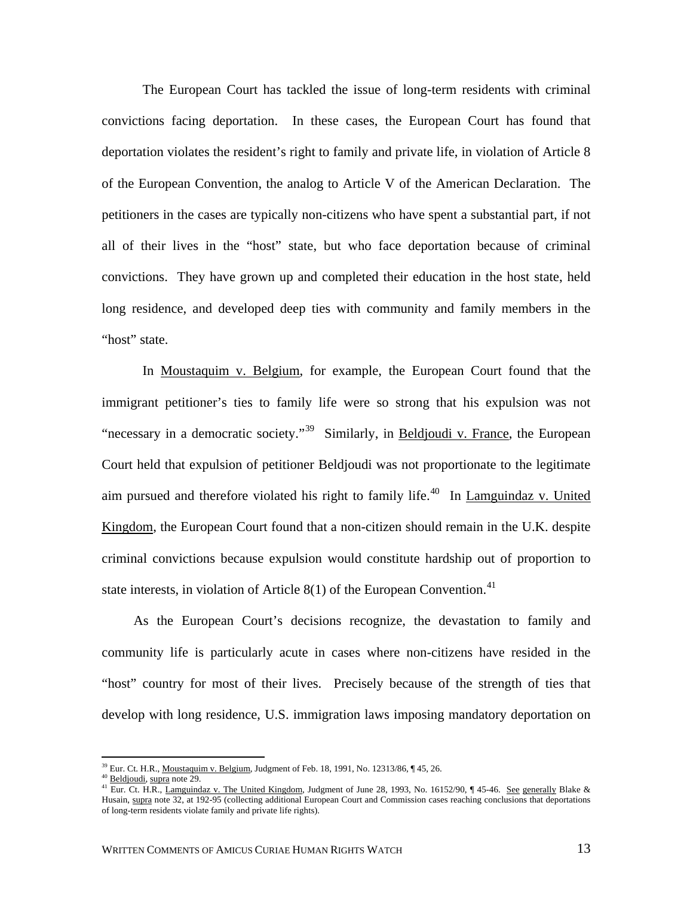The European Court has tackled the issue of long-term residents with criminal convictions facing deportation. In these cases, the European Court has found that deportation violates the resident's right to family and private life, in violation of Article 8 of the European Convention, the analog to Article V of the American Declaration. The petitioners in the cases are typically non-citizens who have spent a substantial part, if not all of their lives in the "host" state, but who face deportation because of criminal convictions. They have grown up and completed their education in the host state, held long residence, and developed deep ties with community and family members in the "host" state.

In Moustaquim v. Belgium, for example, the European Court found that the immigrant petitioner's ties to family life were so strong that his expulsion was not "necessary in a democratic society."<sup>[39](#page-15-0)</sup> Similarly, in Beldjoudi v. France, the European Court held that expulsion of petitioner Beldjoudi was not proportionate to the legitimate aim pursued and therefore violated his right to family life.<sup>[40](#page-15-1)</sup> In Lamguindaz v. United Kingdom, the European Court found that a non-citizen should remain in the U.K. despite criminal convictions because expulsion would constitute hardship out of proportion to state interests, in violation of Article  $8(1)$  of the European Convention.<sup>[41](#page-15-2)</sup>

 As the European Court's decisions recognize, the devastation to family and community life is particularly acute in cases where non-citizens have resided in the "host" country for most of their lives. Precisely because of the strength of ties that develop with long residence, U.S. immigration laws imposing mandatory deportation on

<span id="page-15-2"></span>

<span id="page-15-1"></span><span id="page-15-0"></span><sup>&</sup>lt;sup>39</sup> Eur. Ct. H.R., <u>Moustaquim v. Belgium</u>, Judgment of Feb. 18, 1991, No. 12313/86, ¶ 45, 26.<br><sup>40</sup> <u>Beldjoudi, supra</u> note 29.<br><sup>41</sup> Eur. Ct. H.R., <u>Lamguindaz v. The United Kingdom</u>, Judgment of June 28, 1993, No. 16152 Husain, supra note 32, at 192-95 (collecting additional European Court and Commission cases reaching conclusions that deportations of long-term residents violate family and private life rights).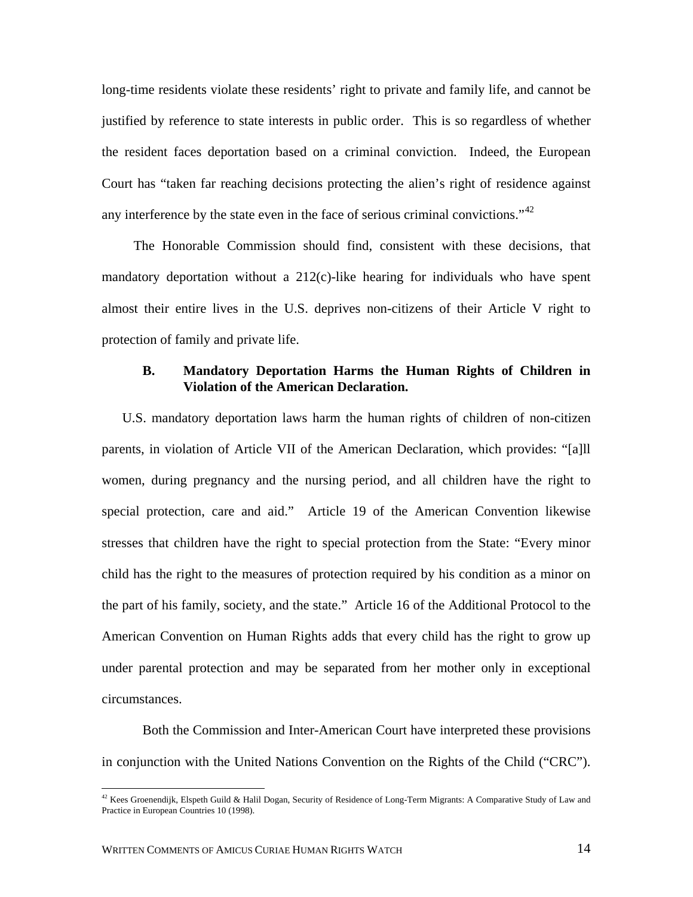long-time residents violate these residents' right to private and family life, and cannot be justified by reference to state interests in public order. This is so regardless of whether the resident faces deportation based on a criminal conviction. Indeed, the European Court has "taken far reaching decisions protecting the alien's right of residence against any interference by the state even in the face of serious criminal convictions."<sup>[42](#page-16-0)</sup>

 The Honorable Commission should find, consistent with these decisions, that mandatory deportation without a  $212(c)$ -like hearing for individuals who have spent almost their entire lives in the U.S. deprives non-citizens of their Article V right to protection of family and private life.

#### **B. Mandatory Deportation Harms the Human Rights of Children in Violation of the American Declaration.**

U.S. mandatory deportation laws harm the human rights of children of non-citizen parents, in violation of Article VII of the American Declaration, which provides: "[a]ll women, during pregnancy and the nursing period, and all children have the right to special protection, care and aid." Article 19 of the American Convention likewise stresses that children have the right to special protection from the State: "Every minor child has the right to the measures of protection required by his condition as a minor on the part of his family, society, and the state." Article 16 of the Additional Protocol to the American Convention on Human Rights adds that every child has the right to grow up under parental protection and may be separated from her mother only in exceptional circumstances.

Both the Commission and Inter-American Court have interpreted these provisions in conjunction with the United Nations Convention on the Rights of the Child ("CRC").

<span id="page-16-0"></span> $42$  Kees Groenendijk, Elspeth Guild & Halil Dogan, Security of Residence of Long-Term Migrants: A Comparative Study of Law and Practice in European Countries 10 (1998).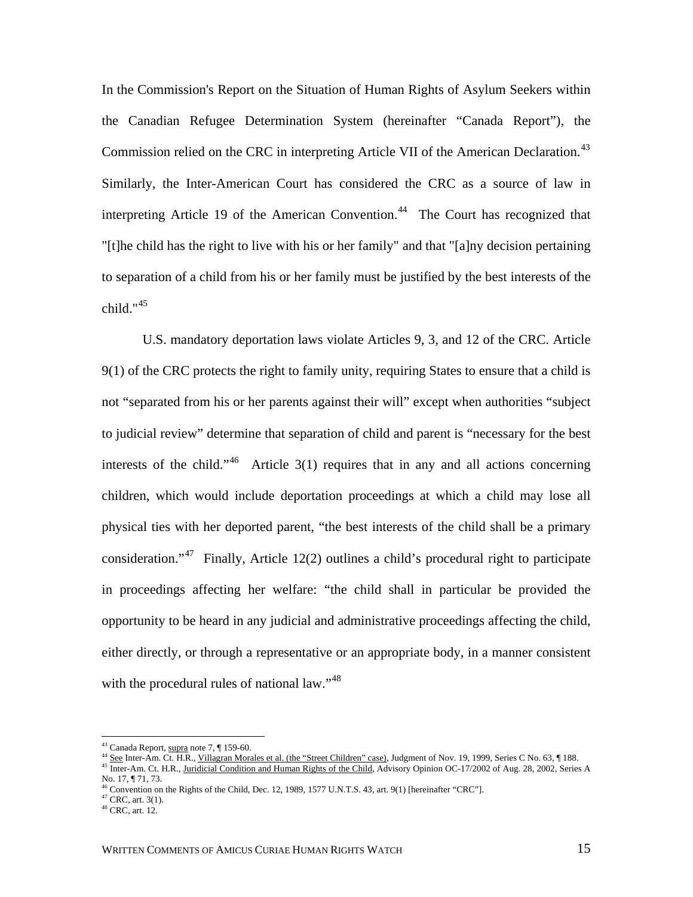In the Commission's Report on the Situation of Human Rights of Asylum Seekers within the Canadian Refugee Determination System (hereinafter "Canada Report"), the Commission relied on the CRC in interpreting Article VII of the American Declaration.<sup>43</sup> Similarly, the Inter-American Court has considered the CRC as a source of law in interpreting Article 19 of the American Convention.<sup>[44](#page-17-1)</sup> The Court has recognized that "[t]he child has the right to live with his or her family" and that "[a]ny decision pertaining to separation of a child from his or her family must be justified by the best interests of the child." $45$ 

U.S. mandatory deportation laws violate Articles 9, 3, and 12 of the CRC. Article 9(1) of the CRC protects the right to family unity, requiring States to ensure that a child is not "separated from his or her parents against their will" except when authorities "subject to judicial review" determine that separation of child and parent is "necessary for the best interests of the child."<sup>[46](#page-17-3)</sup> Article  $3(1)$  requires that in any and all actions concerning children, which would include deportation proceedings at which a child may lose all physical ties with her deported parent, "the best interests of the child shall be a primary consideration."<sup>[47](#page-17-4)</sup> Finally, Article 12(2) outlines a child's procedural right to participate in proceedings affecting her welfare: "the child shall in particular be provided the opportunity to be heard in any judicial and administrative proceedings affecting the child, either directly, or through a representative or an appropriate body, in a manner consistent with the procedural rules of national law."<sup>[48](#page-17-5)</sup>

<sup>&</sup>lt;sup>43</sup> Canada Report, supra note 7, ¶ 159-60.

<span id="page-17-1"></span><span id="page-17-0"></span><sup>44</sup> See Inter-Am. Ct. H.R., Villagran Morales et al. (the "Street Children" case), Judgment of Nov. 19, 1999, Series C No. 63, 1 188.<br><sup>45</sup> Inter-Am. Ct. H.R., <u>Juridicial Condition and Human Rights of the Child,</u> Advisory O

<span id="page-17-2"></span>No. 17, ¶ 71, 73.

<span id="page-17-3"></span><sup>&</sup>lt;sup>46</sup> Convention on the Rights of the Child, Dec. 12, 1989, 1577 U.N.T.S. 43, art. 9(1) [hereinafter "CRC"]. <sup>47</sup> CRC, art. 3(1).

<span id="page-17-5"></span><span id="page-17-4"></span><sup>48</sup> CRC, art. 12.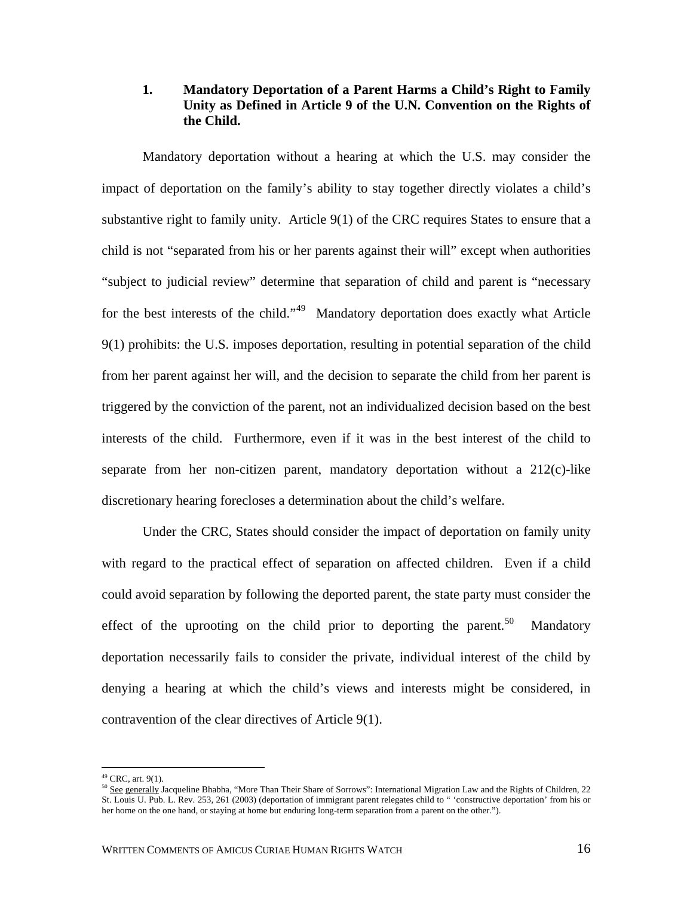# **1. Mandatory Deportation of a Parent Harms a Child's Right to Family Unity as Defined in Article 9 of the U.N. Convention on the Rights of the Child.**

Mandatory deportation without a hearing at which the U.S. may consider the impact of deportation on the family's ability to stay together directly violates a child's substantive right to family unity. Article 9(1) of the CRC requires States to ensure that a child is not "separated from his or her parents against their will" except when authorities "subject to judicial review" determine that separation of child and parent is "necessary for the best interests of the child."<sup>[49](#page-18-0)</sup> Mandatory deportation does exactly what Article 9(1) prohibits: the U.S. imposes deportation, resulting in potential separation of the child from her parent against her will, and the decision to separate the child from her parent is triggered by the conviction of the parent, not an individualized decision based on the best interests of the child. Furthermore, even if it was in the best interest of the child to separate from her non-citizen parent, mandatory deportation without a  $212(c)$ -like discretionary hearing forecloses a determination about the child's welfare.

Under the CRC, States should consider the impact of deportation on family unity with regard to the practical effect of separation on affected children. Even if a child could avoid separation by following the deported parent, the state party must consider the effect of the uprooting on the child prior to deporting the parent.<sup>[50](#page-18-1)</sup> Mandatory deportation necessarily fails to consider the private, individual interest of the child by denying a hearing at which the child's views and interests might be considered, in contravention of the clear directives of Article 9(1).

<span id="page-18-0"></span> $49$  CRC, art. 9(1).

<span id="page-18-1"></span><sup>&</sup>lt;sup>50</sup> See generally Jacqueline Bhabha, "More Than Their Share of Sorrows": International Migration Law and the Rights of Children, 22 St. Louis U. Pub. L. Rev. 253, 261 (2003) (deportation of immigrant parent relegates child to " 'constructive deportation' from his or her home on the one hand, or staying at home but enduring long-term separation from a parent on the other.").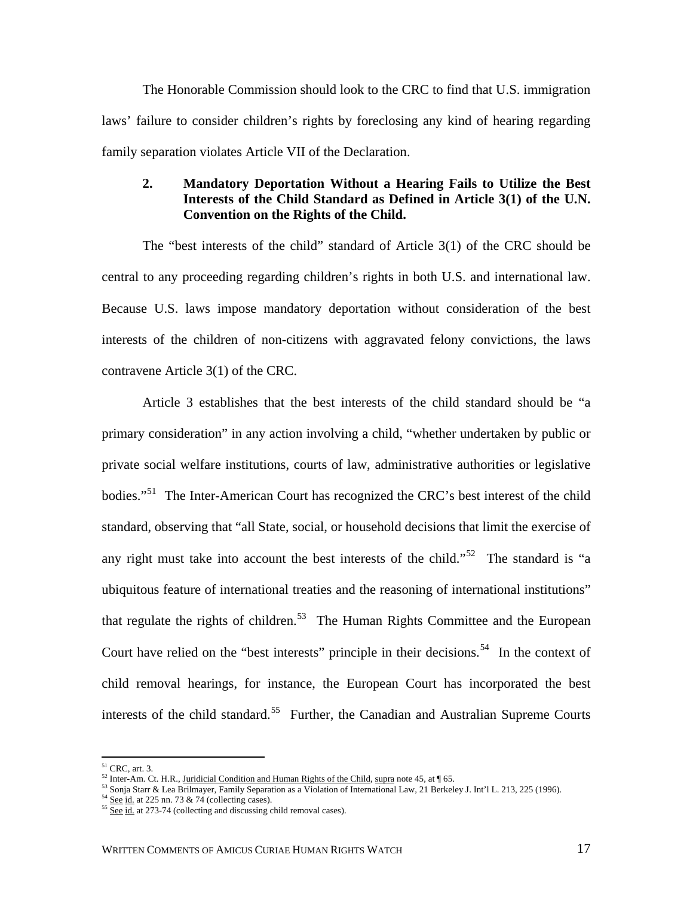The Honorable Commission should look to the CRC to find that U.S. immigration laws' failure to consider children's rights by foreclosing any kind of hearing regarding family separation violates Article VII of the Declaration.

# **2. Mandatory Deportation Without a Hearing Fails to Utilize the Best Interests of the Child Standard as Defined in Article 3(1) of the U.N. Convention on the Rights of the Child.**

The "best interests of the child" standard of Article 3(1) of the CRC should be central to any proceeding regarding children's rights in both U.S. and international law. Because U.S. laws impose mandatory deportation without consideration of the best interests of the children of non-citizens with aggravated felony convictions, the laws contravene Article 3(1) of the CRC.

Article 3 establishes that the best interests of the child standard should be "a primary consideration" in any action involving a child, "whether undertaken by public or private social welfare institutions, courts of law, administrative authorities or legislative bodies."<sup>[51](#page-19-0)</sup> The Inter-American Court has recognized the CRC's best interest of the child standard, observing that "all State, social, or household decisions that limit the exercise of any right must take into account the best interests of the child."<sup>[52](#page-19-1)</sup> The standard is "a ubiquitous feature of international treaties and the reasoning of international institutions" that regulate the rights of children.<sup>[53](#page-19-2)</sup> The Human Rights Committee and the European Court have relied on the "best interests" principle in their decisions.<sup>[54](#page-19-3)</sup> In the context of child removal hearings, for instance, the European Court has incorporated the best interests of the child standard.<sup>[55](#page-19-4)</sup> Further, the Canadian and Australian Supreme Courts

 $51$  CRC, art. 3.

<span id="page-19-2"></span><span id="page-19-1"></span>

<span id="page-19-0"></span><sup>&</sup>lt;sup>52</sup> Inter-Am. Ct. H.R., Juridicial Condition and Human Rights of the Child, supra note 45, at ¶ 65.<br><sup>53</sup> Sonja Starr & Lea Brilmayer, Family Separation as a Violation of International Law, 21 Berkeley J. Int'l L. 213, 22

<span id="page-19-4"></span><span id="page-19-3"></span>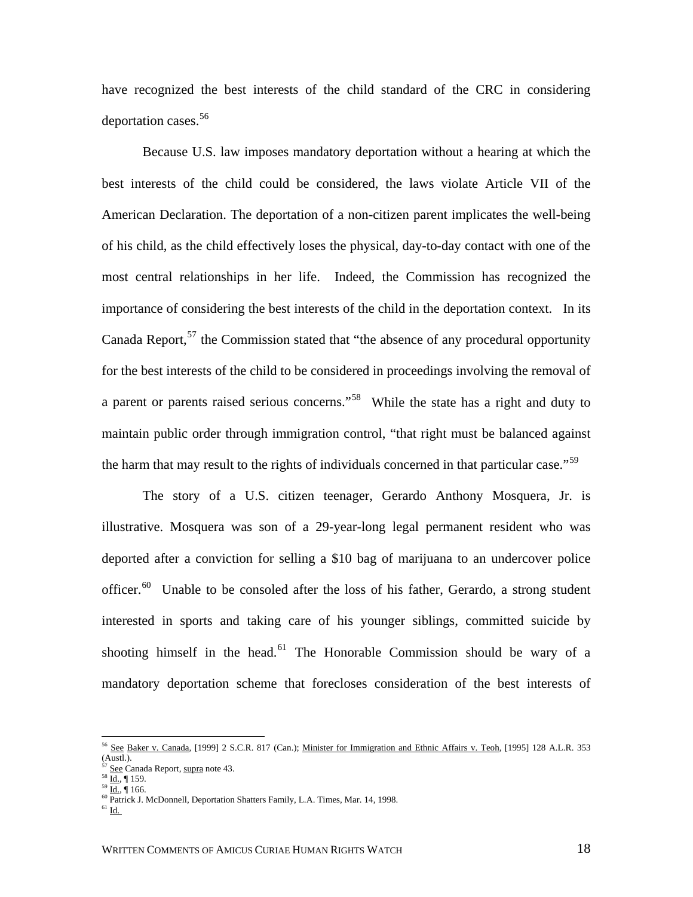have recognized the best interests of the child standard of the CRC in considering deportation cases.<sup>[56](#page-20-0)</sup>

Because U.S. law imposes mandatory deportation without a hearing at which the best interests of the child could be considered, the laws violate Article VII of the American Declaration. The deportation of a non-citizen parent implicates the well-being of his child, as the child effectively loses the physical, day-to-day contact with one of the most central relationships in her life. Indeed, the Commission has recognized the importance of considering the best interests of the child in the deportation context. In its Canada Report,<sup>[57](#page-20-1)</sup> the Commission stated that "the absence of any procedural opportunity for the best interests of the child to be considered in proceedings involving the removal of a parent or parents raised serious concerns."[58](#page-20-2) While the state has a right and duty to maintain public order through immigration control, "that right must be balanced against the harm that may result to the rights of individuals concerned in that particular case."<sup>[59](#page-20-3)</sup>

The story of a U.S. citizen teenager, Gerardo Anthony Mosquera, Jr. is illustrative. Mosquera was son of a 29-year-long legal permanent resident who was deported after a conviction for selling a \$10 bag of marijuana to an undercover police officer.<sup>[60](#page-20-4)</sup> Unable to be consoled after the loss of his father, Gerardo, a strong student interested in sports and taking care of his younger siblings, committed suicide by shooting himself in the head.<sup>[61](#page-20-5)</sup> The Honorable Commission should be wary of a mandatory deportation scheme that forecloses consideration of the best interests of

<span id="page-20-0"></span><sup>56</sup> See Baker v. Canada, [1999] 2 S.C.R. 817 (Can.); Minister for Immigration and Ethnic Affairs v. Teoh, [1995] 128 A.L.R. 353 (Austl.).<br><sup>57</sup> See Canada Report, supra note 43.

<span id="page-20-4"></span><span id="page-20-3"></span><span id="page-20-2"></span><span id="page-20-1"></span>

<sup>58</sup>  $\underline{\overline{\mathrm{Id}}}_{.}$  ¶ 159.<br><sup>59</sup>  $\underline{\mathrm{Id}}$ , ¶ 166.<br><sup>60</sup> Patrick J. McDonnell, Deportation Shatters Family, L.A. Times, Mar. 14, 1998.

<span id="page-20-5"></span>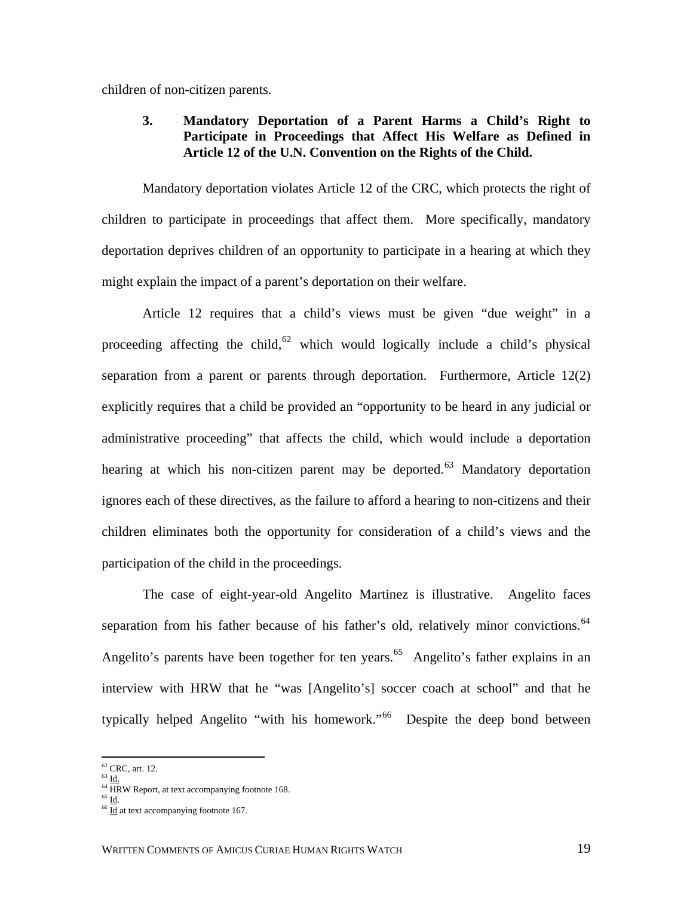children of non-citizen parents.

# **3. Mandatory Deportation of a Parent Harms a Child's Right to Participate in Proceedings that Affect His Welfare as Defined in Article 12 of the U.N. Convention on the Rights of the Child.**

Mandatory deportation violates Article 12 of the CRC, which protects the right of children to participate in proceedings that affect them. More specifically, mandatory deportation deprives children of an opportunity to participate in a hearing at which they might explain the impact of a parent's deportation on their welfare.

Article 12 requires that a child's views must be given "due weight" in a proceeding affecting the child,<sup>[62](#page-21-0)</sup> which would logically include a child's physical separation from a parent or parents through deportation. Furthermore, Article 12(2) explicitly requires that a child be provided an "opportunity to be heard in any judicial or administrative proceeding" that affects the child, which would include a deportation hearing at which his non-citizen parent may be deported.<sup>[63](#page-21-1)</sup> Mandatory deportation ignores each of these directives, as the failure to afford a hearing to non-citizens and their children eliminates both the opportunity for consideration of a child's views and the participation of the child in the proceedings.

 The case of eight-year-old Angelito Martinez is illustrative. Angelito faces separation from his father because of his father's old, relatively minor convictions.<sup>64</sup> Angelito's parents have been together for ten years.<sup>[65](#page-21-3)</sup> Angelito's father explains in an interview with HRW that he "was [Angelito's] soccer coach at school" and that he typically helped Angelito "with his homework."<sup>[66](#page-21-4)</sup> Despite the deep bond between

<span id="page-21-0"></span> $62$  CRC, art. 12.

<span id="page-21-1"></span> $63$  Id.

<sup>&</sup>lt;sup>64</sup> HRW Report, at text accompanying footnote 168.

<span id="page-21-4"></span><span id="page-21-3"></span><span id="page-21-2"></span> $\frac{65 \text{ Id}}{66 \text{ Id}}$ .<br><sup>66</sup> <u>Id</u> at text accompanying footnote 167.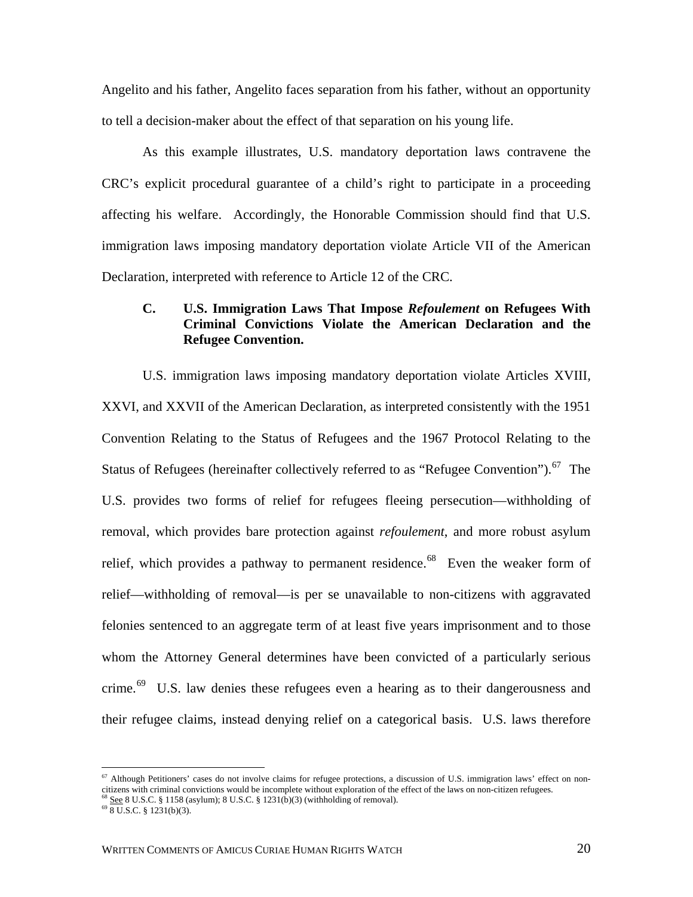Angelito and his father, Angelito faces separation from his father, without an opportunity to tell a decision-maker about the effect of that separation on his young life.

As this example illustrates, U.S. mandatory deportation laws contravene the CRC's explicit procedural guarantee of a child's right to participate in a proceeding affecting his welfare. Accordingly, the Honorable Commission should find that U.S. immigration laws imposing mandatory deportation violate Article VII of the American Declaration, interpreted with reference to Article 12 of the CRC.

# **C. U.S. Immigration Laws That Impose** *Refoulement* **on Refugees With Criminal Convictions Violate the American Declaration and the Refugee Convention.**

U.S. immigration laws imposing mandatory deportation violate Articles XVIII, XXVI, and XXVII of the American Declaration, as interpreted consistently with the 1951 Convention Relating to the Status of Refugees and the 1967 Protocol Relating to the Status of Refugees (hereinafter collectively referred to as "Refugee Convention").<sup>[67](#page-22-0)</sup> The U.S. provides two forms of relief for refugees fleeing persecution—withholding of removal, which provides bare protection against *refoulement*, and more robust asylum relief, which provides a pathway to permanent residence.<sup>[68](#page-22-1)</sup> Even the weaker form of relief—withholding of removal—is per se unavailable to non-citizens with aggravated felonies sentenced to an aggregate term of at least five years imprisonment and to those whom the Attorney General determines have been convicted of a particularly serious crime.<sup>[69](#page-22-2)</sup> U.S. law denies these refugees even a hearing as to their dangerousness and their refugee claims, instead denying relief on a categorical basis. U.S. laws therefore

<span id="page-22-0"></span><sup>&</sup>lt;sup>67</sup> Although Petitioners' cases do not involve claims for refugee protections, a discussion of U.S. immigration laws' effect on noncitizens with criminal convictions would be incomplete without exploration of the effect of the laws on non-citizen refugees.<br>  $^{68}$  See 8 U.S.C. § 1158 (asylum); 8 U.S.C. § 1231(b)(3) (withholding of removal).<br>  $^{69}$  8

<span id="page-22-1"></span>

<span id="page-22-2"></span>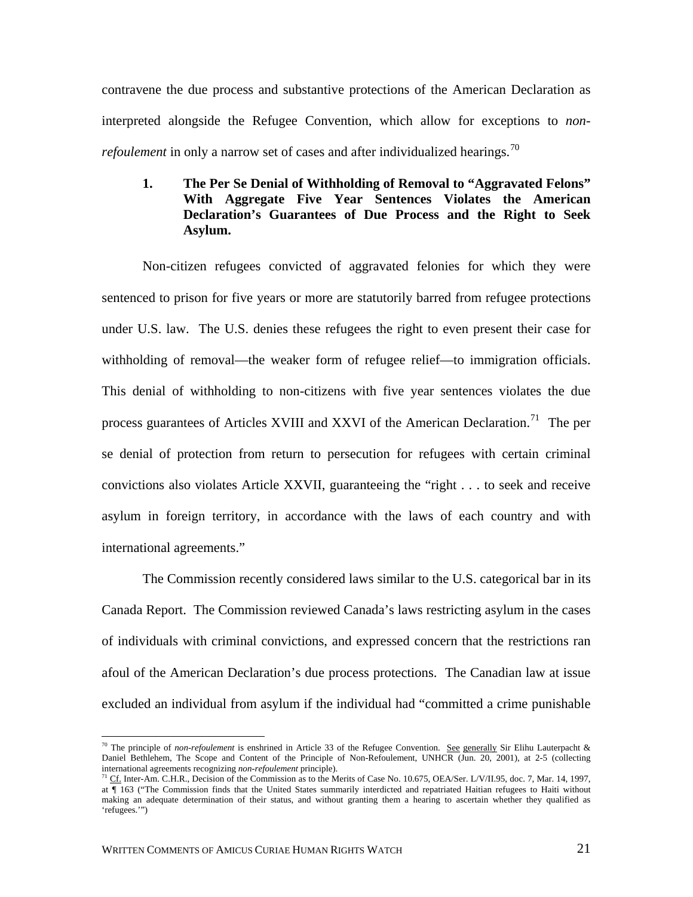contravene the due process and substantive protections of the American Declaration as interpreted alongside the Refugee Convention, which allow for exceptions to *nonrefoulement* in only a narrow set of cases and after individualized hearings.<sup>[70](#page-23-0)</sup>

# **1. The Per Se Denial of Withholding of Removal to "Aggravated Felons" With Aggregate Five Year Sentences Violates the American Declaration's Guarantees of Due Process and the Right to Seek Asylum.**

Non-citizen refugees convicted of aggravated felonies for which they were sentenced to prison for five years or more are statutorily barred from refugee protections under U.S. law. The U.S. denies these refugees the right to even present their case for withholding of removal—the weaker form of refugee relief—to immigration officials. This denial of withholding to non-citizens with five year sentences violates the due process guarantees of Articles XVIII and XXVI of the American Declaration.<sup>[71](#page-23-1)</sup> The per se denial of protection from return to persecution for refugees with certain criminal convictions also violates Article XXVII, guaranteeing the "right . . . to seek and receive asylum in foreign territory, in accordance with the laws of each country and with international agreements."

The Commission recently considered laws similar to the U.S. categorical bar in its Canada Report. The Commission reviewed Canada's laws restricting asylum in the cases of individuals with criminal convictions, and expressed concern that the restrictions ran afoul of the American Declaration's due process protections. The Canadian law at issue excluded an individual from asylum if the individual had "committed a crime punishable

<span id="page-23-0"></span><sup>&</sup>lt;sup>70</sup> The principle of *non-refoulement* is enshrined in Article 33 of the Refugee Convention. See generally Sir Elihu Lauterpacht & Daniel Bethlehem, The Scope and Content of the Principle of Non-Refoulement, UNHCR (Jun. 20, 2001), at 2-5 (collecting international agreements recognizing *non-refoulement* principle).

<span id="page-23-1"></span><sup>&</sup>lt;sup>71</sup> Cf. Inter-Am. C.H.R., Decision of the Commission as to the Merits of Case No. 10.675, OEA/Ser. L/V/II.95, doc. 7, Mar. 14, 1997, at ¶ 163 ("The Commission finds that the United States summarily interdicted and repatriated Haitian refugees to Haiti without making an adequate determination of their status, and without granting them a hearing to ascertain whether they qualified as 'refugees.'")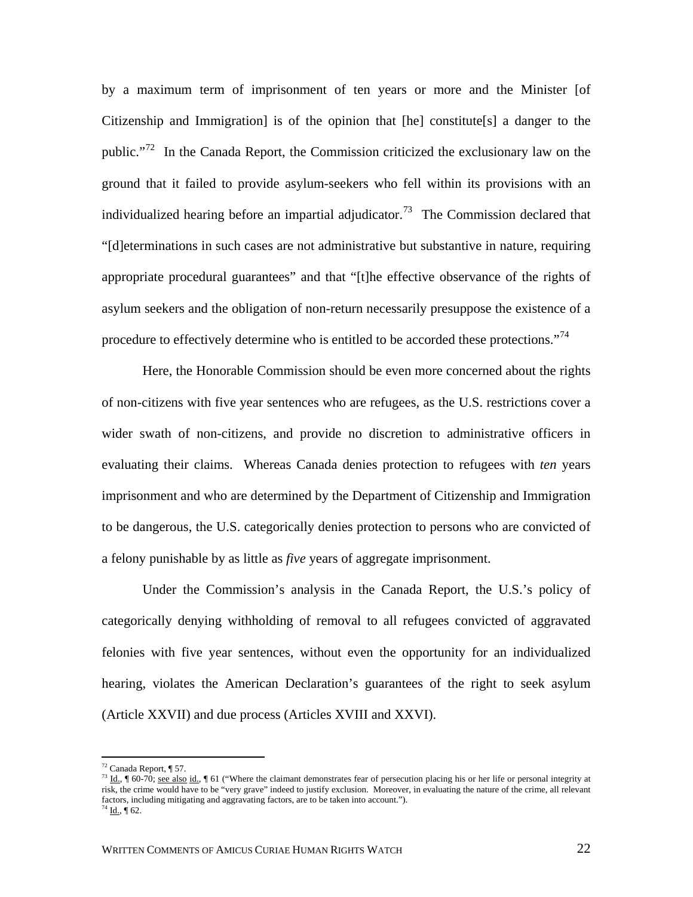by a maximum term of imprisonment of ten years or more and the Minister [of Citizenship and Immigration] is of the opinion that [he] constitute[s] a danger to the public."<sup>[72](#page-24-0)</sup> In the Canada Report, the Commission criticized the exclusionary law on the ground that it failed to provide asylum-seekers who fell within its provisions with an individualized hearing before an impartial adjudicator.<sup>73</sup> The Commission declared that "[d]eterminations in such cases are not administrative but substantive in nature, requiring appropriate procedural guarantees" and that "[t]he effective observance of the rights of asylum seekers and the obligation of non-return necessarily presuppose the existence of a procedure to effectively determine who is entitled to be accorded these protections."<sup>[74](#page-24-2)</sup>

Here, the Honorable Commission should be even more concerned about the rights of non-citizens with five year sentences who are refugees, as the U.S. restrictions cover a wider swath of non-citizens, and provide no discretion to administrative officers in evaluating their claims. Whereas Canada denies protection to refugees with *ten* years imprisonment and who are determined by the Department of Citizenship and Immigration to be dangerous, the U.S. categorically denies protection to persons who are convicted of a felony punishable by as little as *five* years of aggregate imprisonment.

Under the Commission's analysis in the Canada Report, the U.S.'s policy of categorically denying withholding of removal to all refugees convicted of aggravated felonies with five year sentences, without even the opportunity for an individualized hearing, violates the American Declaration's guarantees of the right to seek asylum (Article XXVII) and due process (Articles XVIII and XXVI).

<span id="page-24-0"></span> $72$  Canada Report, ¶ 57.

<span id="page-24-2"></span><span id="page-24-1"></span> $^{73}$  Id.,  $\parallel$  60-70; see also id.,  $\parallel$  61 ("Where the claimant demonstrates fear of persecution placing his or her life or personal integrity at risk, the crime would have to be "very grave" indeed to justify exclusion. Moreover, in evaluating the nature of the crime, all relevant factors, including mitigating and aggravating factors, are to be taken into account."). <sup>74</sup> <u>Id.,</u> ¶ 62.

WRITTEN COMMENTS OF AMICUS CURIAE HUMAN RIGHTS WATCH 22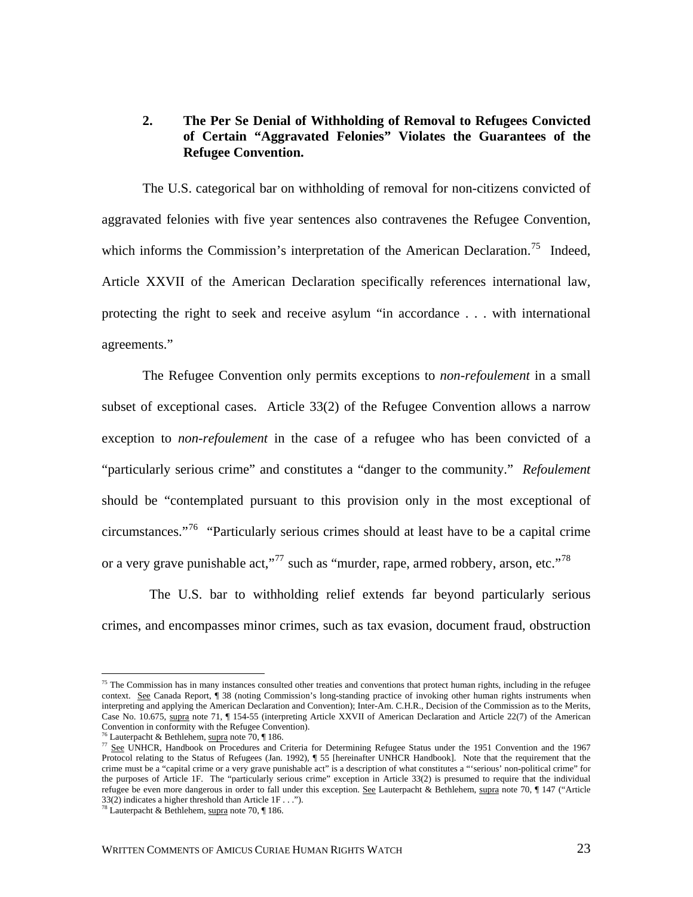### **2. The Per Se Denial of Withholding of Removal to Refugees Convicted of Certain "Aggravated Felonies" Violates the Guarantees of the Refugee Convention.**

The U.S. categorical bar on withholding of removal for non-citizens convicted of aggravated felonies with five year sentences also contravenes the Refugee Convention, which informs the Commission's interpretation of the American Declaration.<sup>[75](#page-25-0)</sup> Indeed, Article XXVII of the American Declaration specifically references international law, protecting the right to seek and receive asylum "in accordance . . . with international agreements."

The Refugee Convention only permits exceptions to *non-refoulement* in a small subset of exceptional cases. Article 33(2) of the Refugee Convention allows a narrow exception to *non-refoulement* in the case of a refugee who has been convicted of a "particularly serious crime" and constitutes a "danger to the community." *Refoulement* should be "contemplated pursuant to this provision only in the most exceptional of circumstances."<sup>[76](#page-25-1)</sup> "Particularly serious crimes should at least have to be a capital crime or a very grave punishable act,"<sup>[77](#page-25-2)</sup> such as "murder, rape, armed robbery, arson, etc."<sup>[78](#page-25-3)</sup>

 The U.S. bar to withholding relief extends far beyond particularly serious crimes, and encompasses minor crimes, such as tax evasion, document fraud, obstruction

<span id="page-25-0"></span> $75$  The Commission has in many instances consulted other treaties and conventions that protect human rights, including in the refugee context. See Canada Report, ¶ 38 (noting Commission's long-standing practice of invoking other human rights instruments when interpreting and applying the American Declaration and Convention); Inter-Am. C.H.R., Decision of the Commission as to the Merits, Case No. 10.675, supra note 71, ¶ 154-55 (interpreting Article XXVII of American Declaration and Article 22(7) of the American Convention in conformity with the Refugee Convention).<br><sup>76</sup> Lauterpacht & Bethlehem, supra note 70,  $\P$  186.

<span id="page-25-2"></span><span id="page-25-1"></span> $\frac{76}{100}$  See UNHCR, Handbook on Procedures and Criteria for Determining Refugee Status under the 1951 Convention and the 1967 Protocol relating to the Status of Refugees (Jan. 1992), ¶ 55 [hereinafter UNHCR Handbook]. Note that the requirement that the crime must be a "capital crime or a very grave punishable act" is a description of what constitutes a "'serious' non-political crime" for the purposes of Article 1F. The "particularly serious crime" exception in Article 33(2) is presumed to require that the individual refugee be even more dangerous in order to fall under this exception. See Lauterpacht & Bethlehem, supra note 70, ¶ 147 ("Article 33(2) indicates a higher threshold than Article 1F . . .").

<span id="page-25-3"></span><sup>&</sup>lt;sup>78</sup> Lauterpacht & Bethlehem, supra note 70,  $\P$  186.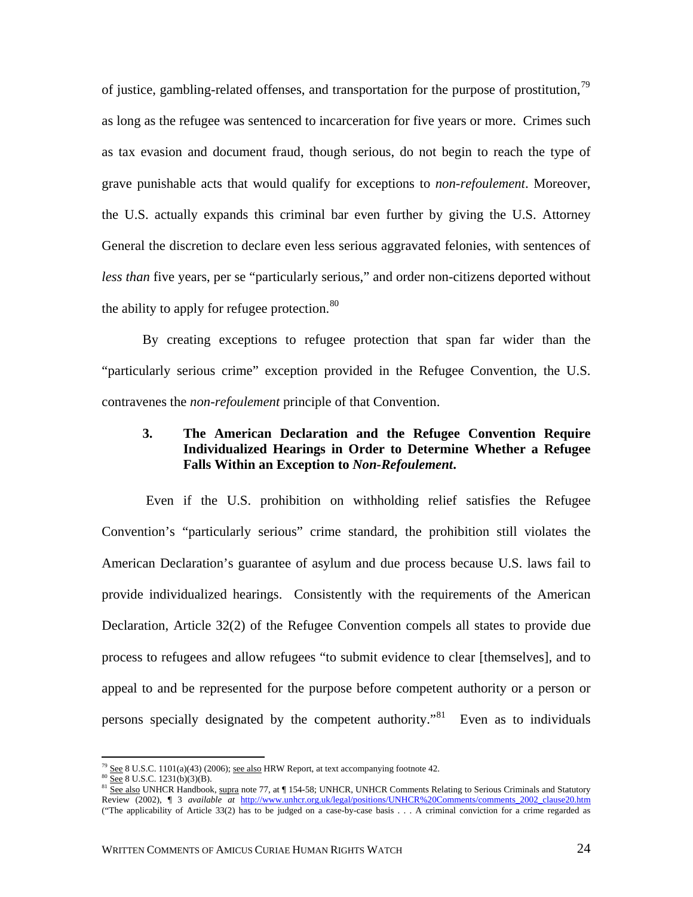of justice, gambling-related offenses, and transportation for the purpose of prostitution,  $79$ as long as the refugee was sentenced to incarceration for five years or more. Crimes such as tax evasion and document fraud, though serious, do not begin to reach the type of grave punishable acts that would qualify for exceptions to *non-refoulement*. Moreover, the U.S. actually expands this criminal bar even further by giving the U.S. Attorney General the discretion to declare even less serious aggravated felonies, with sentences of *less than* five years, per se "particularly serious," and order non-citizens deported without the ability to apply for refugee protection.  $80$ 

By creating exceptions to refugee protection that span far wider than the "particularly serious crime" exception provided in the Refugee Convention, the U.S. contravenes the *non-refoulement* principle of that Convention.

# **3. The American Declaration and the Refugee Convention Require Individualized Hearings in Order to Determine Whether a Refugee Falls Within an Exception to** *Non-Refoulement***.**

 Even if the U.S. prohibition on withholding relief satisfies the Refugee Convention's "particularly serious" crime standard, the prohibition still violates the American Declaration's guarantee of asylum and due process because U.S. laws fail to provide individualized hearings. Consistently with the requirements of the American Declaration, Article 32(2) of the Refugee Convention compels all states to provide due process to refugees and allow refugees "to submit evidence to clear [themselves], and to appeal to and be represented for the purpose before competent authority or a person or persons specially designated by the competent authority.<sup>[81](#page-26-2)</sup> Even as to individuals

<span id="page-26-2"></span>

<span id="page-26-1"></span><span id="page-26-0"></span><sup>&</sup>lt;sup>79</sup> See 8 U.S.C. 1101(a)(43) (2006); <u>see also</u> HRW Report, at text accompanying footnote 42.<br><sup>80</sup> <u>See</u> 8 U.S.C. 1231(b)(3)(B).<br><sup>81</sup> <u>See also</u> UNHCR Handbook, supra note 77, at ¶ 154-58; UNHCR, UNHCR Comments Relating Review (2002), ¶ 3 *available at* [http://www.unhcr.org.uk/legal/positions/UNHCR%20Comments/comments\\_2002\\_clause20.htm](http://www.unhcr.org.uk/legal/positions/UNHCR%20Comments/comments_2002_clause20.htm)  ("The applicability of Article 33(2) has to be judged on a case-by-case basis . . . A criminal conviction for a crime regarded as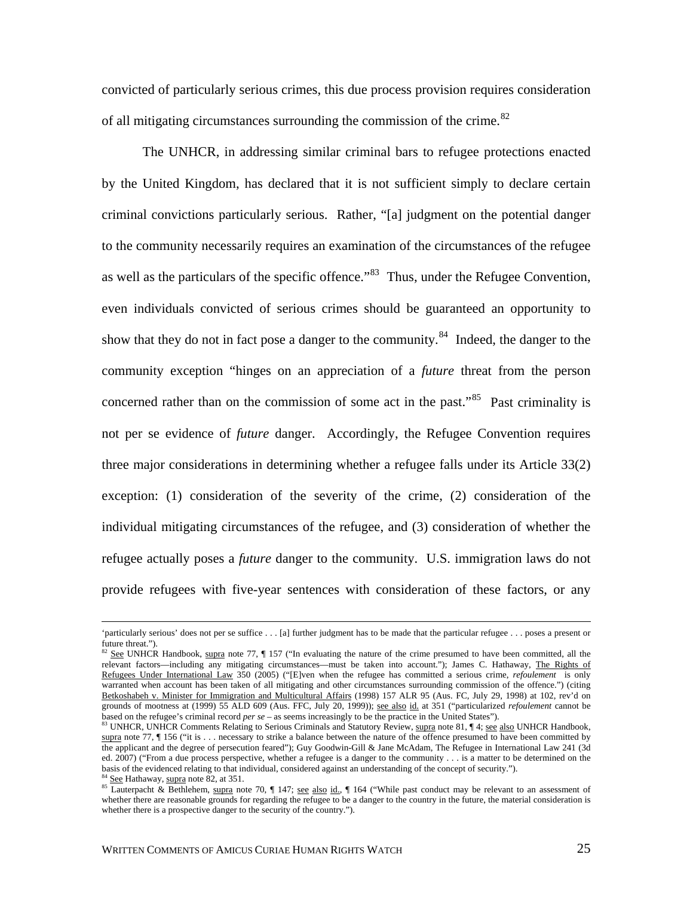convicted of particularly serious crimes, this due process provision requires consideration of all mitigating circumstances surrounding the commission of the crime.<sup>[82](#page-27-0)</sup>

The UNHCR, in addressing similar criminal bars to refugee protections enacted by the United Kingdom, has declared that it is not sufficient simply to declare certain criminal convictions particularly serious. Rather, "[a] judgment on the potential danger to the community necessarily requires an examination of the circumstances of the refugee as well as the particulars of the specific offence."<sup>[83](#page-27-1)</sup> Thus, under the Refugee Convention, even individuals convicted of serious crimes should be guaranteed an opportunity to show that they do not in fact pose a danger to the community.<sup>[84](#page-27-2)</sup> Indeed, the danger to the community exception "hinges on an appreciation of a *future* threat from the person concerned rather than on the commission of some act in the past.<sup>[85](#page-27-3)</sup> Past criminality is not per se evidence of *future* danger. Accordingly, the Refugee Convention requires three major considerations in determining whether a refugee falls under its Article 33(2) exception: (1) consideration of the severity of the crime, (2) consideration of the individual mitigating circumstances of the refugee, and (3) consideration of whether the refugee actually poses a *future* danger to the community. U.S. immigration laws do not provide refugees with five-year sentences with consideration of these factors, or any

 <sup>&#</sup>x27;particularly serious' does not per se suffice . . . [a] further judgment has to be made that the particular refugee . . . poses a present or future threat.").

<span id="page-27-0"></span> $82$  See UNHCR Handbook, supra note 77,  $\parallel$  157 ("In evaluating the nature of the crime presumed to have been committed, all the relevant factors—including any mitigating circumstances—must be taken into account."); James C. Hathaway, The Rights of Refugees Under International Law 350 (2005) ("[E]ven when the refugee has committed a serious crime, *refoulement* is only warranted when account has been taken of all mitigating and other circumstances surrounding commission of the offence.") (citing Betkoshabeh v. Minister for Immigration and Multicultural Affairs (1998) 157 ALR 95 (Aus. FC, July 29, 1998) at 102, rev'd on grounds of mootness at (1999) 55 ALD 609 (Aus. FFC, July 20, 1999)); <u>see also id.</u> at 351 ("particularized *refoulement* cannot be based on the refugee's criminal record *per se* – as seems increasingly to be the practice

<span id="page-27-1"></span><sup>83</sup> UNHCR, UNHCR Comments Relating to Serious Criminals and Statutory Review, supra note 81, 14; see also UNHCR Handbook, supra note 77,  $\parallel$  156 ("it is . . . necessary to strike a balance between the nature of the offence presumed to have been committed by the applicant and the degree of persecution feared"); Guy Goodwin-Gill & Jane McAdam, The Refugee in International Law 241 (3d ed.  $2007$ ) ("From a due process perspective, whether a refugee is a danger to the community . . . is a matter to be determined on the basis of the evidenced relating to that individual, considered against an understandin

<span id="page-27-3"></span><span id="page-27-2"></span><sup>&</sup>lt;sup>84</sup> See Hathaway, supra note 82, at 351.<br><sup>85</sup> Lauterpacht & Bethlehem, supra note 70, ¶ 147; <u>see also id.</u>, ¶ 164 ("While past conduct may be relevant to an assessment of whether there are reasonable grounds for regarding the refugee to be a danger to the country in the future, the material consideration is whether there is a prospective danger to the security of the country.").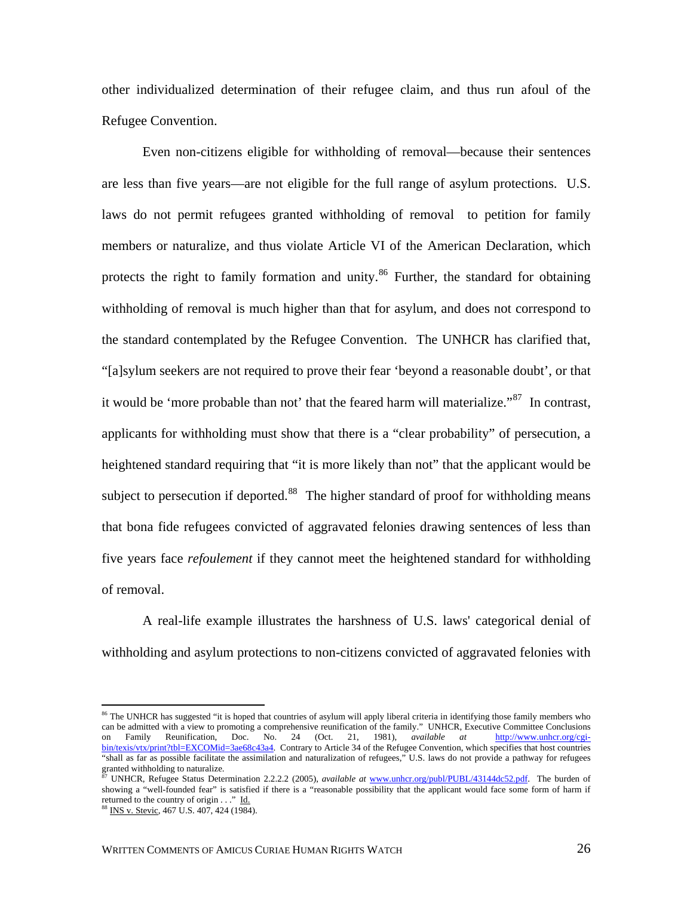other individualized determination of their refugee claim, and thus run afoul of the Refugee Convention.

Even non-citizens eligible for withholding of removal—because their sentences are less than five years—are not eligible for the full range of asylum protections. U.S. laws do not permit refugees granted withholding of removal to petition for family members or naturalize, and thus violate Article VI of the American Declaration, which protects the right to family formation and unity.<sup>[86](#page-28-0)</sup> Further, the standard for obtaining withholding of removal is much higher than that for asylum, and does not correspond to the standard contemplated by the Refugee Convention. The UNHCR has clarified that, "[a]sylum seekers are not required to prove their fear 'beyond a reasonable doubt', or that it would be 'more probable than not' that the feared harm will materialize."<sup>[87](#page-28-1)</sup> In contrast, applicants for withholding must show that there is a "clear probability" of persecution, a heightened standard requiring that "it is more likely than not" that the applicant would be subject to persecution if deported.<sup>[88](#page-28-2)</sup> The higher standard of proof for withholding means that bona fide refugees convicted of aggravated felonies drawing sentences of less than five years face *refoulement* if they cannot meet the heightened standard for withholding of removal.

A real-life example illustrates the harshness of U.S. laws' categorical denial of withholding and asylum protections to non-citizens convicted of aggravated felonies with

<span id="page-28-0"></span><sup>&</sup>lt;sup>86</sup> The UNHCR has suggested "it is hoped that countries of asylum will apply liberal criteria in identifying those family members who can be admitted with a view to promoting a comprehensive reunification of the family." UNHCR, Executive Committee Conclusions<br>on Family Reunification, Doc. No. 24 (Oct. 21, 1981), *available at* http://www.unhcr.org/cgion Family Reunification, Doc. No. 24 (Oct. 21, 1981), *available at* [http://www.unhcr.org/cgi](http://www.unhcr.org/cgi-bin/texis/vtx/print?tbl=EXCOMid=3ae68c43a4)[bin/texis/vtx/print?tbl=EXCOMid=3ae68c43a4.](http://www.unhcr.org/cgi-bin/texis/vtx/print?tbl=EXCOMid=3ae68c43a4) Contrary to Article 34 of the Refugee Convention, which specifies that host countries "shall as far as possible facilitate the assimilation and naturalization of refugees," U.S. laws do not provide a pathway for refugees granted withholding to naturalize.

<span id="page-28-1"></span><sup>87</sup> UNHCR, Refugee Status Determination 2.2.2.2 (2005), *available at* [www.unhcr.org/publ/PUBL/43144dc52.pdf](http://www.unhcr.org/publ/PUBL/43144dc52.pdf). The burden of showing a "well-founded fear" is satisfied if there is a "reasonable possibility that the applicant would face some form of harm if returned to the country of origin . . ." Id.

<span id="page-28-2"></span><sup>88</sup> INS v. Stevic, 467 U.S. 407, 424 (1984).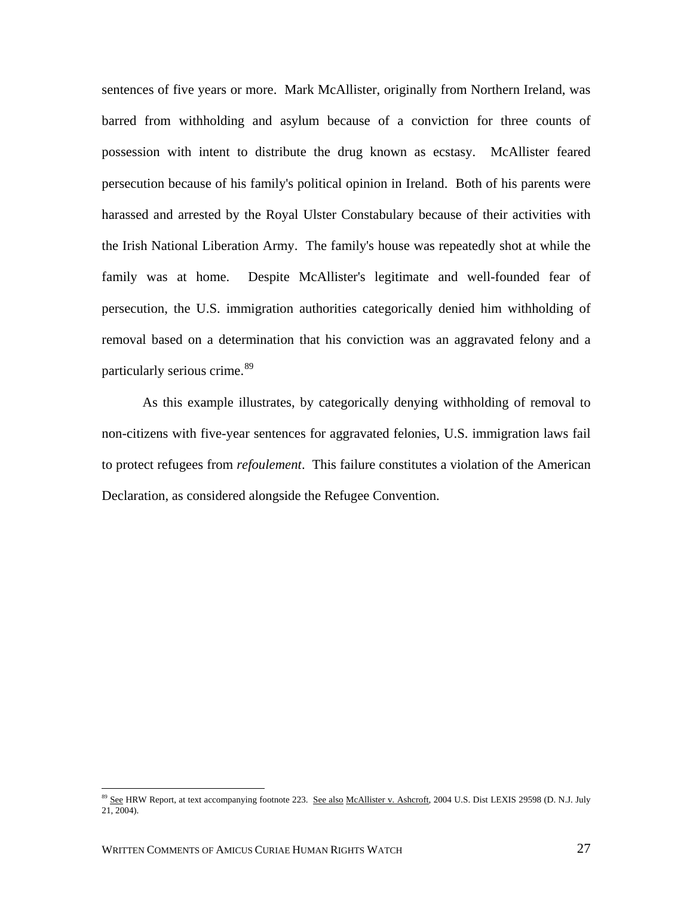sentences of five years or more. Mark McAllister, originally from Northern Ireland, was barred from withholding and asylum because of a conviction for three counts of possession with intent to distribute the drug known as ecstasy. McAllister feared persecution because of his family's political opinion in Ireland. Both of his parents were harassed and arrested by the Royal Ulster Constabulary because of their activities with the Irish National Liberation Army. The family's house was repeatedly shot at while the family was at home. Despite McAllister's legitimate and well-founded fear of persecution, the U.S. immigration authorities categorically denied him withholding of removal based on a determination that his conviction was an aggravated felony and a particularly serious crime.<sup>[89](#page-29-0)</sup>

As this example illustrates, by categorically denying withholding of removal to non-citizens with five-year sentences for aggravated felonies, U.S. immigration laws fail to protect refugees from *refoulement*. This failure constitutes a violation of the American Declaration, as considered alongside the Refugee Convention.

<span id="page-29-0"></span><sup>&</sup>lt;sup>89</sup> See HRW Report, at text accompanying footnote 223. See also McAllister v. Ashcroft, 2004 U.S. Dist LEXIS 29598 (D. N.J. July  $21, 2004$ ).